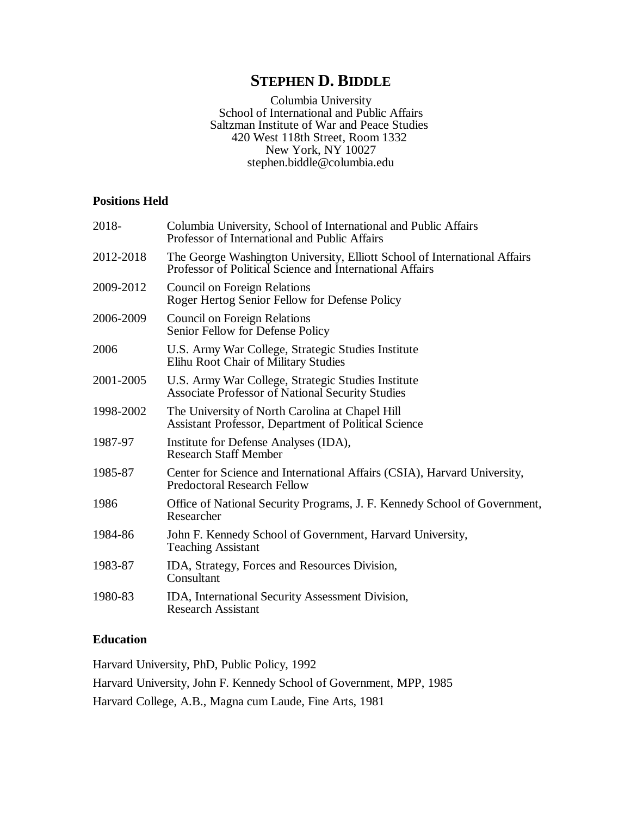# **STEPHEN D. BIDDLE**

Columbia University School of International and Public Affairs Saltzman Institute of War and Peace Studies 420 West 118th Street, Room 1332 New York, NY 10027 [stephen.biddle@columbia.edu](mailto:stephen.biddle@columbia.edu)

# **Positions Held**

| 2018-     | Columbia University, School of International and Public Affairs<br>Professor of International and Public Affairs                      |
|-----------|---------------------------------------------------------------------------------------------------------------------------------------|
| 2012-2018 | The George Washington University, Elliott School of International Affairs<br>Professor of Political Science and International Affairs |
| 2009-2012 | <b>Council on Foreign Relations</b><br>Roger Hertog Senior Fellow for Defense Policy                                                  |
| 2006-2009 | <b>Council on Foreign Relations</b><br>Senior Fellow for Defense Policy                                                               |
| 2006      | U.S. Army War College, Strategic Studies Institute<br>Elihu Root Chair of Military Studies                                            |
| 2001-2005 | U.S. Army War College, Strategic Studies Institute<br><b>Associate Professor of National Security Studies</b>                         |
| 1998-2002 | The University of North Carolina at Chapel Hill<br><b>Assistant Professor, Department of Political Science</b>                        |
| 1987-97   | Institute for Defense Analyses (IDA),<br><b>Research Staff Member</b>                                                                 |
| 1985-87   | Center for Science and International Affairs (CSIA), Harvard University,<br><b>Predoctoral Research Fellow</b>                        |
| 1986      | Office of National Security Programs, J. F. Kennedy School of Government,<br>Researcher                                               |
| 1984-86   | John F. Kennedy School of Government, Harvard University,<br><b>Teaching Assistant</b>                                                |
| 1983-87   | IDA, Strategy, Forces and Resources Division,<br>Consultant                                                                           |
| 1980-83   | IDA, International Security Assessment Division,<br><b>Research Assistant</b>                                                         |

# **Education**

Harvard University, PhD, Public Policy, 1992

Harvard University, John F. Kennedy School of Government, MPP, 1985

Harvard College, A.B., Magna cum Laude, Fine Arts, 1981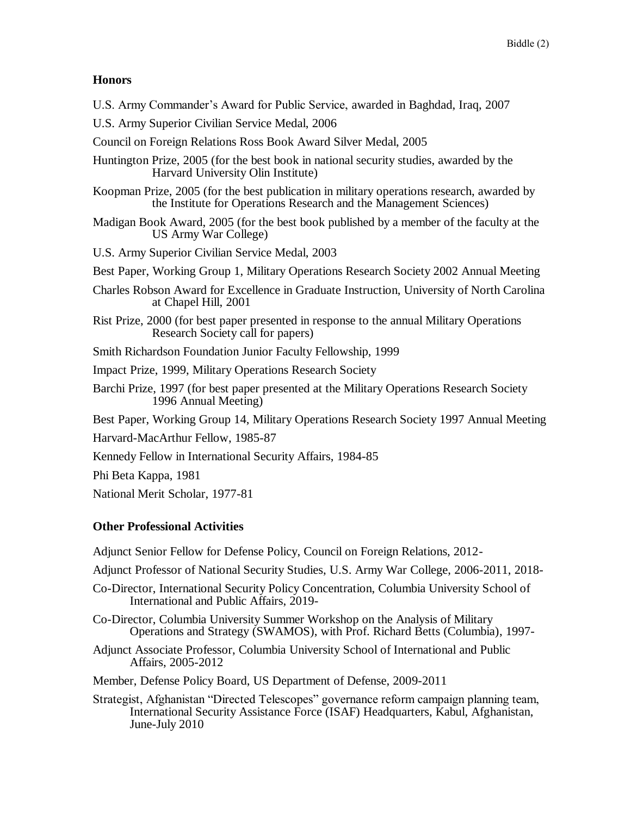# **Honors**

- U.S. Army Commander's Award for Public Service, awarded in Baghdad, Iraq, 2007
- U.S. Army Superior Civilian Service Medal, 2006
- Council on Foreign Relations Ross Book Award Silver Medal, 2005
- Huntington Prize, 2005 (for the best book in national security studies, awarded by the Harvard University Olin Institute)
- Koopman Prize, 2005 (for the best publication in military operations research, awarded by the Institute for Operations Research and the Management Sciences)
- Madigan Book Award, 2005 (for the best book published by a member of the faculty at the US Army War College)
- U.S. Army Superior Civilian Service Medal, 2003
- Best Paper, Working Group 1, Military Operations Research Society 2002 Annual Meeting
- Charles Robson Award for Excellence in Graduate Instruction, University of North Carolina at Chapel Hill, 2001
- Rist Prize, 2000 (for best paper presented in response to the annual Military Operations Research Society call for papers)
- Smith Richardson Foundation Junior Faculty Fellowship, 1999
- Impact Prize, 1999, Military Operations Research Society
- Barchi Prize, 1997 (for best paper presented at the Military Operations Research Society 1996 Annual Meeting)
- Best Paper, Working Group 14, Military Operations Research Society 1997 Annual Meeting
- Harvard-MacArthur Fellow, 1985-87
- Kennedy Fellow in International Security Affairs, 1984-85
- Phi Beta Kappa, 1981
- National Merit Scholar, 1977-81

# **Other Professional Activities**

- Adjunct Senior Fellow for Defense Policy, Council on Foreign Relations, 2012-
- Adjunct Professor of National Security Studies, U.S. Army War College, 2006-2011, 2018-
- Co-Director, International Security Policy Concentration, Columbia University School of International and Public Affairs, 2019-
- Co-Director, Columbia University Summer Workshop on the Analysis of Military Operations and Strategy (SWAMOS), with Prof. Richard Betts (Columbia), 1997-
- Adjunct Associate Professor, Columbia University School of International and Public Affairs, 2005-2012
- Member, Defense Policy Board, US Department of Defense, 2009-2011
- Strategist, Afghanistan "Directed Telescopes" governance reform campaign planning team, International Security Assistance Force (ISAF) Headquarters, Kabul, Afghanistan, June-July 2010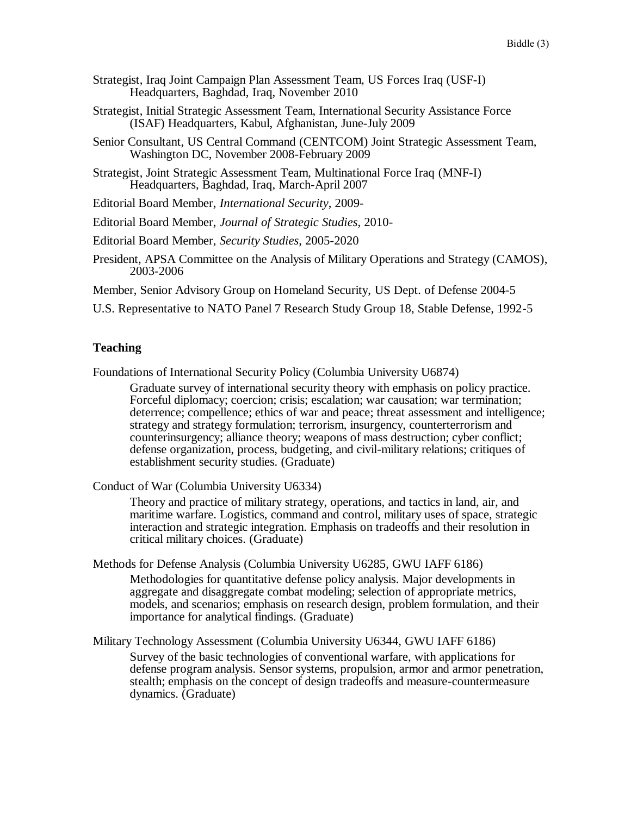- Strategist, Iraq Joint Campaign Plan Assessment Team, US Forces Iraq (USF-I) Headquarters, Baghdad, Iraq, November 2010
- Strategist, Initial Strategic Assessment Team, International Security Assistance Force (ISAF) Headquarters, Kabul, Afghanistan, June-July 2009
- Senior Consultant, US Central Command (CENTCOM) Joint Strategic Assessment Team, Washington DC, November 2008-February 2009
- Strategist, Joint Strategic Assessment Team, Multinational Force Iraq (MNF-I) Headquarters, Baghdad, Iraq, March-April 2007
- Editorial Board Member, *International Security*, 2009-
- Editorial Board Member, *Journal of Strategic Studies*, 2010-
- Editorial Board Member, *Security Studies*, 2005-2020
- President, APSA Committee on the Analysis of Military Operations and Strategy (CAMOS), 2003-2006

Member, Senior Advisory Group on Homeland Security, US Dept. of Defense 2004-5

U.S. Representative to NATO Panel 7 Research Study Group 18, Stable Defense, 1992-5

### **Teaching**

Foundations of International Security Policy (Columbia University U6874)

Graduate survey of international security theory with emphasis on policy practice. Forceful diplomacy; coercion; crisis; escalation; war causation; war termination; deterrence; compellence; ethics of war and peace; threat assessment and intelligence; strategy and strategy formulation; terrorism, insurgency, counterterrorism and counterinsurgency; alliance theory; weapons of mass destruction; cyber conflict; defense organization, process, budgeting, and civil-military relations; critiques of establishment security studies. (Graduate)

Conduct of War (Columbia University U6334)

Theory and practice of military strategy, operations, and tactics in land, air, and maritime warfare. Logistics, command and control, military uses of space, strategic interaction and strategic integration. Emphasis on tradeoffs and their resolution in critical military choices. (Graduate)

Methods for Defense Analysis (Columbia University U6285, GWU IAFF 6186)

Methodologies for quantitative defense policy analysis. Major developments in aggregate and disaggregate combat modeling; selection of appropriate metrics, models, and scenarios; emphasis on research design, problem formulation, and their importance for analytical findings. (Graduate)

Military Technology Assessment (Columbia University U6344, GWU IAFF 6186)

Survey of the basic technologies of conventional warfare, with applications for defense program analysis. Sensor systems, propulsion, armor and armor penetration, stealth; emphasis on the concept of design tradeoffs and measure-countermeasure dynamics. (Graduate)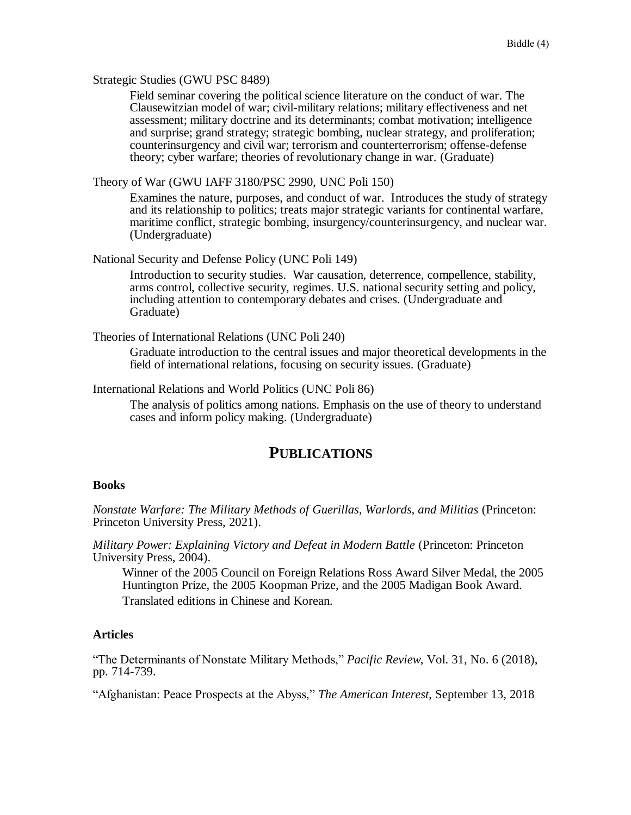#### Strategic Studies (GWU PSC 8489)

Field seminar covering the political science literature on the conduct of war. The Clausewitzian model of war; civil-military relations; military effectiveness and net assessment; military doctrine and its determinants; combat motivation; intelligence and surprise; grand strategy; strategic bombing, nuclear strategy, and proliferation; counterinsurgency and civil war; terrorism and counterterrorism; offense-defense theory; cyber warfare; theories of revolutionary change in war. (Graduate)

Theory of War (GWU IAFF 3180/PSC 2990, UNC Poli 150)

Examines the nature, purposes, and conduct of war. Introduces the study of strategy and its relationship to politics; treats major strategic variants for continental warfare, maritime conflict, strategic bombing, insurgency/counterinsurgency, and nuclear war. (Undergraduate)

National Security and Defense Policy (UNC Poli 149)

Introduction to security studies. War causation, deterrence, compellence, stability, arms control, collective security, regimes. U.S. national security setting and policy, including attention to contemporary debates and crises. (Undergraduate and Graduate)

Theories of International Relations (UNC Poli 240)

Graduate introduction to the central issues and major theoretical developments in the field of international relations, focusing on security issues. (Graduate)

International Relations and World Politics (UNC Poli 86)

The analysis of politics among nations. Emphasis on the use of theory to understand cases and inform policy making. (Undergraduate)

# **PUBLICATIONS**

#### **Books**

*Nonstate Warfare: The Military Methods of Guerillas, Warlords, and Militias* (Princeton: Princeton University Press, 2021).

*Military Power: Explaining Victory and Defeat in Modern Battle* (Princeton: Princeton University Press, 2004).

Winner of the 2005 Council on Foreign Relations Ross Award Silver Medal, the 2005 Huntington Prize, the 2005 Koopman Prize, and the 2005 Madigan Book Award. Translated editions in Chinese and Korean.

#### **Articles**

"The Determinants of Nonstate Military Methods," *Pacific Review*, Vol. 31, No. 6 (2018), pp. 714-739.

"Afghanistan: Peace Prospects at the Abyss," *The American Interest*, September 13, 2018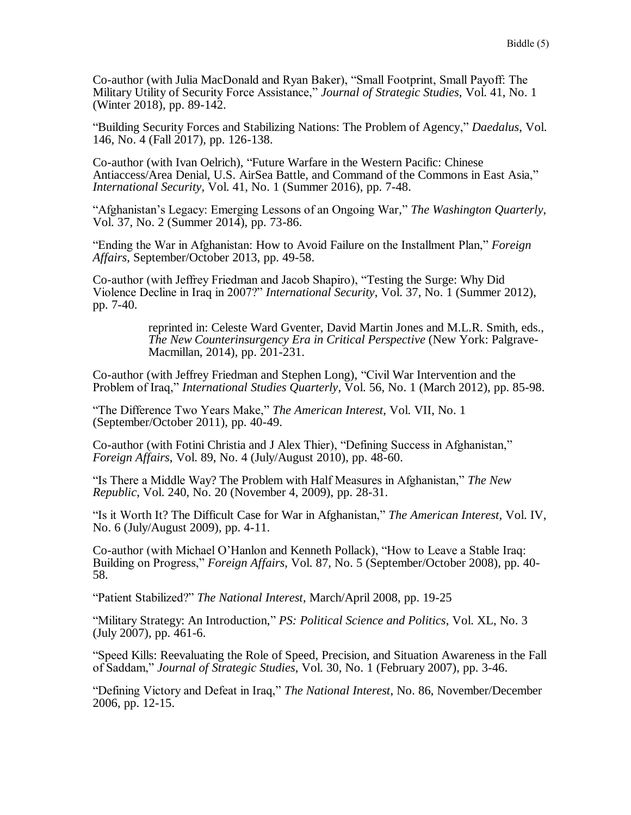Co-author (with Julia MacDonald and Ryan Baker), "Small Footprint, Small Payoff: The Military Utility of Security Force Assistance," *Journal of Strategic Studies*, Vol. 41, No. 1 (Winter 2018), pp. 89-142.

"Building Security Forces and Stabilizing Nations: The Problem of Agency," *Daedalus*, Vol. 146, No. 4 (Fall 2017), pp. 126-138.

Co-author (with Ivan Oelrich), "Future Warfare in the Western Pacific: Chinese Antiaccess/Area Denial, U.S. AirSea Battle, and Command of the Commons in East Asia," *International Security*, Vol. 41, No. 1 (Summer 2016), pp. 7-48.

"Afghanistan's Legacy: Emerging Lessons of an Ongoing War," *The Washington Quarterly*, Vol. 37, No. 2 (Summer 2014), pp. 73-86.

"Ending the War in Afghanistan: How to Avoid Failure on the Installment Plan," *Foreign Affairs*, September/October 2013, pp. 49-58.

Co-author (with Jeffrey Friedman and Jacob Shapiro), "Testing the Surge: Why Did Violence Decline in Iraq in 2007?" *International Security*, Vol. 37, No. 1 (Summer 2012), pp. 7-40.

> reprinted in: Celeste Ward Gventer, David Martin Jones and M.L.R. Smith, eds., *The New Counterinsurgency Era in Critical Perspective* (New York: Palgrave-Macmillan, 2014), pp. 201-231.

Co-author (with Jeffrey Friedman and Stephen Long), "Civil War Intervention and the Problem of Iraq," *International Studies Quarterly*, Vol. 56, No. 1 (March 2012), pp. 85-98.

"The Difference Two Years Make," *The American Interest*, Vol. VII, No. 1 (September/October 2011), pp. 40-49.

Co-author (with Fotini Christia and J Alex Thier), "Defining Success in Afghanistan," *Foreign Affairs*, Vol. 89, No. 4 (July/August 2010), pp. 48-60.

"Is There a Middle Way? The Problem with Half Measures in Afghanistan," *The New Republic*, Vol. 240, No. 20 (November 4, 2009), pp. 28-31.

"Is it Worth It? The Difficult Case for War in Afghanistan," *The American Interest*, Vol. IV, No. 6 (July/August 2009), pp. 4-11.

Co-author (with Michael O'Hanlon and Kenneth Pollack), "How to Leave a Stable Iraq: Building on Progress," *Foreign Affairs*, Vol. 87, No. 5 (September/October 2008), pp. 40- 58.

"Patient Stabilized?" *The National Interest*, March/April 2008, pp. 19-25

"Military Strategy: An Introduction," *PS: Political Science and Politics*, Vol. XL, No. 3 (July 2007), pp. 461-6.

"Speed Kills: Reevaluating the Role of Speed, Precision, and Situation Awareness in the Fall of Saddam," *Journal of Strategic Studies*, Vol. 30, No. 1 (February 2007), pp. 3-46.

"Defining Victory and Defeat in Iraq," *The National Interest*, No. 86, November/December 2006, pp. 12-15.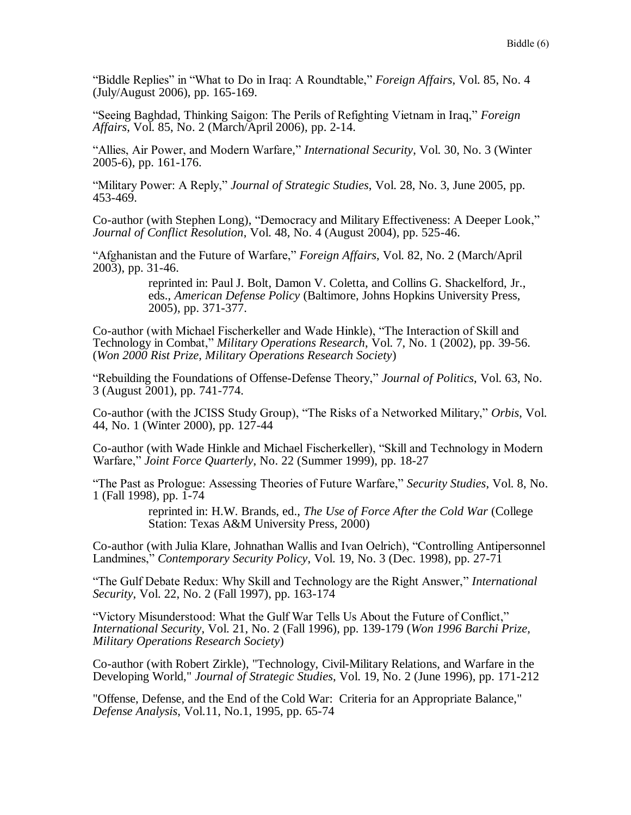"Biddle Replies" in "What to Do in Iraq: A Roundtable," *Foreign Affairs*, Vol. 85, No. 4 (July/August 2006), pp. 165-169.

"Seeing Baghdad, Thinking Saigon: The Perils of Refighting Vietnam in Iraq," *Foreign Affairs*, Vol. 85, No. 2 (March/April 2006), pp. 2-14.

"Allies, Air Power, and Modern Warfare," *International Security*, Vol. 30, No. 3 (Winter 2005-6), pp. 161-176.

"Military Power: A Reply," *Journal of Strategic Studies*, Vol. 28, No. 3, June 2005, pp. 453-469.

Co-author (with Stephen Long), "Democracy and Military Effectiveness: A Deeper Look," *Journal of Conflict Resolution*, Vol. 48, No. 4 (August 2004), pp. 525-46.

"Afghanistan and the Future of Warfare," *Foreign Affairs*, Vol. 82, No. 2 (March/April 2003), pp. 31-46.

> reprinted in: Paul J. Bolt, Damon V. Coletta, and Collins G. Shackelford, Jr., eds., *American Defense Policy* (Baltimore, Johns Hopkins University Press, 2005), pp. 371-377.

Co-author (with Michael Fischerkeller and Wade Hinkle), "The Interaction of Skill and Technology in Combat," *Military Operations Research*, Vol. 7, No. 1 (2002), pp. 39-56. (*Won 2000 Rist Prize, Military Operations Research Society*)

"Rebuilding the Foundations of Offense-Defense Theory," *Journal of Politics*, Vol. 63, No. 3 (August 2001), pp. 741-774.

Co-author (with the JCISS Study Group), "The Risks of a Networked Military," *Orbis*, Vol. 44, No. 1 (Winter 2000), pp. 127-44

Co-author (with Wade Hinkle and Michael Fischerkeller), "Skill and Technology in Modern Warfare," *Joint Force Quarterly*, No. 22 (Summer 1999), pp. 18-27

"The Past as Prologue: Assessing Theories of Future Warfare," *Security Studies*, Vol. 8, No. 1 (Fall 1998), pp. 1-74

> reprinted in: H.W. Brands, ed., *The Use of Force After the Cold War* (College Station: Texas A&M University Press, 2000)

Co-author (with Julia Klare, Johnathan Wallis and Ivan Oelrich), "Controlling Antipersonnel Landmines," *Contemporary Security Policy*, Vol. 19, No. 3 (Dec. 1998), pp. 27-71

"The Gulf Debate Redux: Why Skill and Technology are the Right Answer," *International Security*, Vol. 22, No. 2 (Fall 1997), pp. 163-174

"Victory Misunderstood: What the Gulf War Tells Us About the Future of Conflict," *International Security*, Vol. 21, No. 2 (Fall 1996), pp. 139-179 (*Won 1996 Barchi Prize, Military Operations Research Society*)

Co-author (with Robert Zirkle), "Technology, Civil-Military Relations, and Warfare in the Developing World," *Journal of Strategic Studies*, Vol. 19, No. 2 (June 1996), pp. 171-212

"Offense, Defense, and the End of the Cold War: Criteria for an Appropriate Balance," *Defense Analysis*, Vol.11, No.1, 1995, pp. 65-74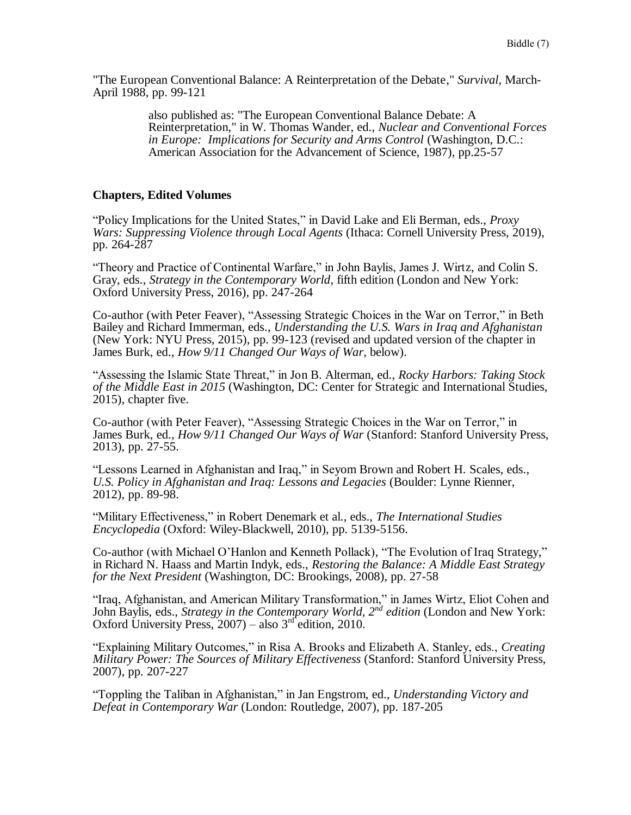"The European Conventional Balance: A Reinterpretation of the Debate," *Survival*, March-April 1988, pp. 99-121

> also published as: "The European Conventional Balance Debate: A Reinterpretation," in W. Thomas Wander, ed., *Nuclear and Conventional Forces in Europe: Implications for Security and Arms Control* (Washington, D.C.: American Association for the Advancement of Science, 1987), pp.25-57

### **Chapters, Edited Volumes**

"Policy Implications for the United States," in David Lake and Eli Berman, eds., *Proxy Wars: Suppressing Violence through Local Agents* (Ithaca: Cornell University Press, 2019), pp. 264-287

"Theory and Practice of Continental Warfare," in John Baylis, James J. Wirtz, and Colin S. Gray, eds., *Strategy in the Contemporary World*, fifth edition (London and New York: Oxford University Press, 2016), pp. 247-264

Co-author (with Peter Feaver), "Assessing Strategic Choices in the War on Terror," in Beth Bailey and Richard Immerman, eds., *Understanding the U.S. Wars in Iraq and Afghanistan* (New York: NYU Press, 2015), pp. 99-123 (revised and updated version of the chapter in James Burk, ed., *How 9/11 Changed Our Ways of War*, below).

"Assessing the Islamic State Threat," in Jon B. Alterman, ed., *Rocky Harbors: Taking Stock of the Middle East in 2015* (Washington, DC: Center for Strategic and International Studies, 2015), chapter five.

Co-author (with Peter Feaver), "Assessing Strategic Choices in the War on Terror," in James Burk, ed., *How 9/11 Changed Our Ways of War* (Stanford: Stanford University Press, 2013), pp. 27-55.

"Lessons Learned in Afghanistan and Iraq," in Seyom Brown and Robert H. Scales, eds., *U.S. Policy in Afghanistan and Iraq: Lessons and Legacies* (Boulder: Lynne Rienner, 2012), pp. 89-98.

"Military Effectiveness," in Robert Denemark et al., eds., *The International Studies Encyclopedia* (Oxford: Wiley-Blackwell, 2010), pp. 5139-5156.

Co-author (with Michael O'Hanlon and Kenneth Pollack), "The Evolution of Iraq Strategy," in Richard N. Haass and Martin Indyk, eds., *Restoring the Balance: A Middle East Strategy for the Next President* (Washington, DC: Brookings, 2008), pp. 27-58

"Iraq, Afghanistan, and American Military Transformation," in James Wirtz, Eliot Cohen and John Baylis, eds., *Strategy in the Contemporary World, 2nd edition* (London and New York: Oxford University Press,  $2007$  – also  $3<sup>rd</sup>$  edition, 2010.

"Explaining Military Outcomes," in Risa A. Brooks and Elizabeth A. Stanley, eds., *Creating Military Power: The Sources of Military Effectiveness* (Stanford: Stanford University Press, 2007), pp. 207-227

"Toppling the Taliban in Afghanistan," in Jan Engstrom, ed., *Understanding Victory and Defeat in Contemporary War* (London: Routledge, 2007), pp. 187-205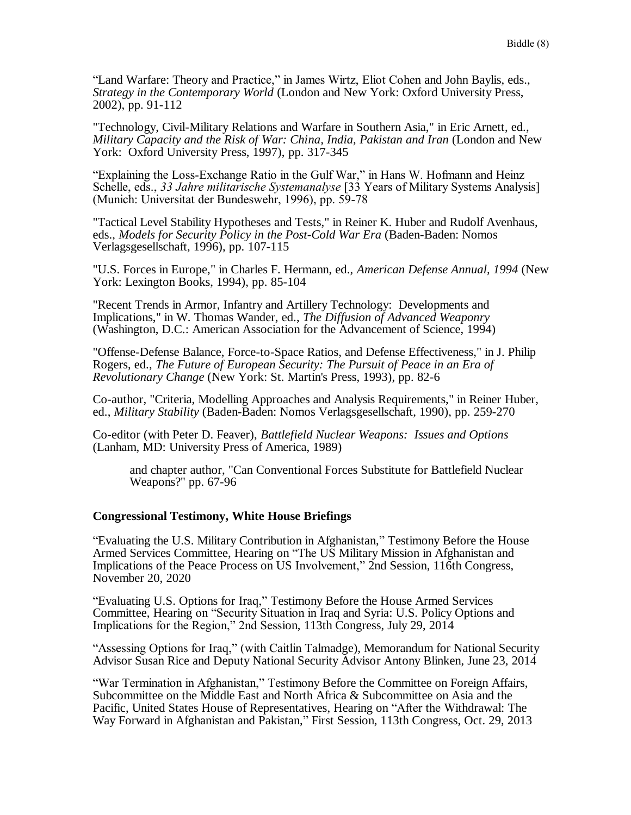"Land Warfare: Theory and Practice," in James Wirtz, Eliot Cohen and John Baylis, eds., *Strategy in the Contemporary World* (London and New York: Oxford University Press, 2002), pp. 91-112

"Technology, Civil-Military Relations and Warfare in Southern Asia," in Eric Arnett, ed., *Military Capacity and the Risk of War: China, India, Pakistan and Iran* (London and New York: Oxford University Press, 1997), pp. 317-345

"Explaining the Loss-Exchange Ratio in the Gulf War," in Hans W. Hofmann and Heinz Schelle, eds., *33 Jahre militarische Systemanalyse* [33 Years of Military Systems Analysis] (Munich: Universitat der Bundeswehr, 1996), pp. 59-78

"Tactical Level Stability Hypotheses and Tests," in Reiner K. Huber and Rudolf Avenhaus, eds., *Models for Security Policy in the Post-Cold War Era* (Baden-Baden: Nomos Verlagsgesellschaft, 1996), pp. 107-115

"U.S. Forces in Europe," in Charles F. Hermann, ed., *American Defense Annual, 1994* (New York: Lexington Books, 1994), pp. 85-104

"Recent Trends in Armor, Infantry and Artillery Technology: Developments and Implications," in W. Thomas Wander, ed., *The Diffusion of Advanced Weaponry*  (Washington, D.C.: American Association for the Advancement of Science, 1994)

"Offense-Defense Balance, Force-to-Space Ratios, and Defense Effectiveness," in J. Philip Rogers, ed., *The Future of European Security: The Pursuit of Peace in an Era of Revolutionary Change* (New York: St. Martin's Press, 1993), pp. 82-6

Co-author, "Criteria, Modelling Approaches and Analysis Requirements," in Reiner Huber, ed., *Military Stability* (Baden-Baden: Nomos Verlagsgesellschaft, 1990), pp. 259-270

Co-editor (with Peter D. Feaver), *Battlefield Nuclear Weapons: Issues and Options* (Lanham, MD: University Press of America, 1989)

and chapter author, "Can Conventional Forces Substitute for Battlefield Nuclear Weapons?" pp. 67-96

### **Congressional Testimony, White House Briefings**

"Evaluating the U.S. Military Contribution in Afghanistan," Testimony Before the House Armed Services Committee, Hearing on "The US Military Mission in Afghanistan and Implications of the Peace Process on US Involvement," 2nd Session, 116th Congress, November 20, 2020

"Evaluating U.S. Options for Iraq," Testimony Before the House Armed Services Committee, Hearing on "Security Situation in Iraq and Syria: U.S. Policy Options and Implications for the Region," 2nd Session, 113th Congress, July 29, 2014

"Assessing Options for Iraq," (with Caitlin Talmadge), Memorandum for National Security Advisor Susan Rice and Deputy National Security Advisor Antony Blinken, June 23, 2014

"War Termination in Afghanistan," Testimony Before the Committee on Foreign Affairs, Subcommittee on the Middle East and North Africa & Subcommittee on Asia and the Pacific, United States House of Representatives, Hearing on "After the Withdrawal: The Way Forward in Afghanistan and Pakistan," First Session, 113th Congress, Oct. 29, 2013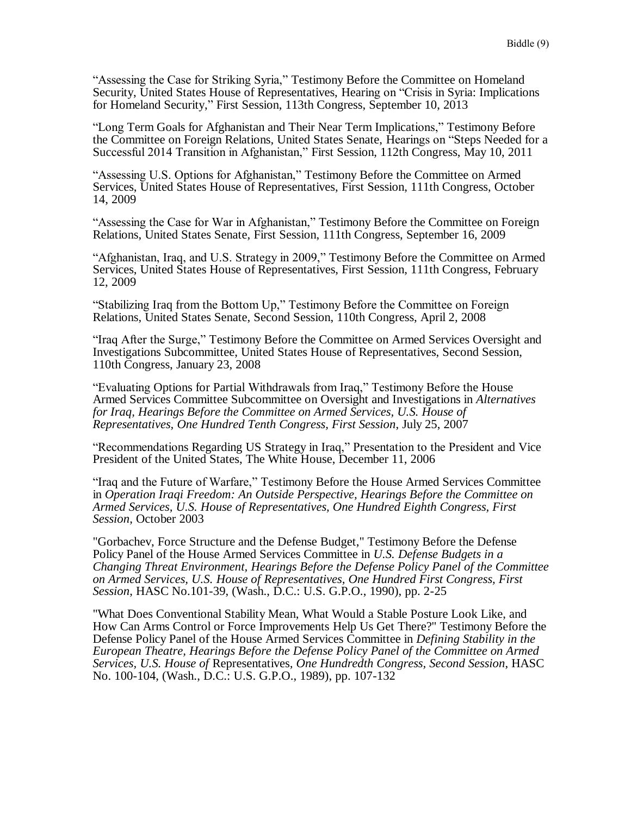"Assessing the Case for Striking Syria," Testimony Before the Committee on Homeland Security, United States House of Representatives, Hearing on "Crisis in Syria: Implications for Homeland Security," First Session, 113th Congress, September 10, 2013

"Long Term Goals for Afghanistan and Their Near Term Implications," Testimony Before the Committee on Foreign Relations, United States Senate, Hearings on "Steps Needed for a Successful 2014 Transition in Afghanistan," First Session, 112th Congress, May 10, 2011

"Assessing U.S. Options for Afghanistan," Testimony Before the Committee on Armed Services, United States House of Representatives, First Session, 111th Congress, October 14, 2009

"Assessing the Case for War in Afghanistan," Testimony Before the Committee on Foreign Relations, United States Senate, First Session, 111th Congress, September 16, 2009

"Afghanistan, Iraq, and U.S. Strategy in 2009," Testimony Before the Committee on Armed Services, United States House of Representatives, First Session, 111th Congress, February 12, 2009

"Stabilizing Iraq from the Bottom Up," Testimony Before the Committee on Foreign Relations, United States Senate, Second Session, 110th Congress, April 2, 2008

"Iraq After the Surge," Testimony Before the Committee on Armed Services Oversight and Investigations Subcommittee, United States House of Representatives, Second Session, 110th Congress, January 23, 2008

"Evaluating Options for Partial Withdrawals from Iraq," Testimony Before the House Armed Services Committee Subcommittee on Oversight and Investigations in *Alternatives for Iraq, Hearings Before the Committee on Armed Services, U.S. House of Representatives, One Hundred Tenth Congress, First Session*, July 25, 2007

"Recommendations Regarding US Strategy in Iraq," Presentation to the President and Vice President of the United States, The White House, December 11, 2006

"Iraq and the Future of Warfare," Testimony Before the House Armed Services Committee in *Operation Iraqi Freedom: An Outside Perspective, Hearings Before the Committee on Armed Services, U.S. House of Representatives, One Hundred Eighth Congress, First Session*, October 2003

"Gorbachev, Force Structure and the Defense Budget," Testimony Before the Defense Policy Panel of the House Armed Services Committee in *U.S. Defense Budgets in a Changing Threat Environment, Hearings Before the Defense Policy Panel of the Committee on Armed Services, U.S. House of Representatives, One Hundred First Congress, First Session*, HASC No.101-39, (Wash., D.C.: U.S. G.P.O., 1990), pp. 2-25

"What Does Conventional Stability Mean, What Would a Stable Posture Look Like, and How Can Arms Control or Force Improvements Help Us Get There?" Testimony Before the Defense Policy Panel of the House Armed Services Committee in *Defining Stability in the European Theatre, Hearings Before the Defense Policy Panel of the Committee on Armed Services, U.S. House of* Representatives*, One Hundredth Congress, Second Session*, HASC No. 100-104, (Wash., D.C.: U.S. G.P.O., 1989), pp. 107-132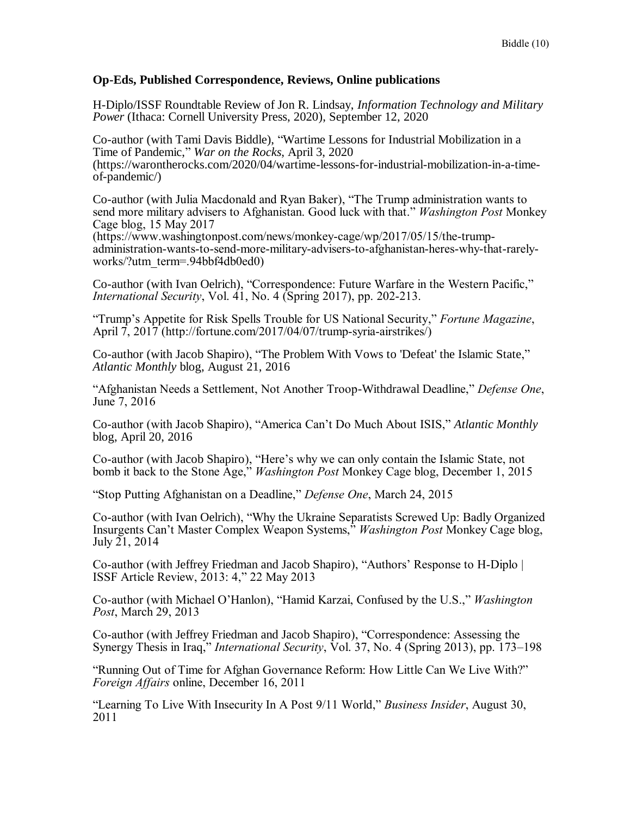### **Op-Eds, Published Correspondence, Reviews, Online publications**

H-Diplo/ISSF Roundtable Review of Jon R. Lindsay, *Information Technology and Military Power* (Ithaca: Cornell University Press, 2020), September 12, 2020

Co-author (with Tami Davis Biddle), "Wartime Lessons for Industrial Mobilization in a Time of Pandemic," *War on the Rocks*, April 3, 2020 (https://warontherocks.com/2020/04/wartime-lessons-for-industrial-mobilization-in-a-timeof-pandemic/)

Co-author (with Julia Macdonald and Ryan Baker), "The Trump administration wants to send more military advisers to Afghanistan. Good luck with that." *Washington Post* Monkey Cage blog, 15 May 2017

(https://www.washingtonpost.com/news/monkey-cage/wp/2017/05/15/the-trumpadministration-wants-to-send-more-military-advisers-to-afghanistan-heres-why-that-rarelyworks/?utm\_term=.94bbf4db0ed0)

Co-author (with Ivan Oelrich), "Correspondence: Future Warfare in the Western Pacific," *International Security*, Vol. 41, No. 4 (Spring 2017), pp. 202-213.

"Trump's Appetite for Risk Spells Trouble for US National Security," *Fortune Magazine*, April 7, 2017 (http://fortune.com/2017/04/07/trump-syria-airstrikes/)

Co-author (with Jacob Shapiro), "The Problem With Vows to 'Defeat' the Islamic State," *Atlantic Monthly* blog, August 21, 2016

"Afghanistan Needs a Settlement, Not Another Troop-Withdrawal Deadline," *Defense One*, June 7, 2016

Co-author (with Jacob Shapiro), "America Can't Do Much About ISIS," *Atlantic Monthly* blog, April 20, 2016

Co-author (with Jacob Shapiro), "Here's why we can only contain the Islamic State, not bomb it back to the Stone Age," *Washington Post* Monkey Cage blog, December 1, 2015

"Stop Putting Afghanistan on a Deadline," *Defense One*, March 24, 2015

Co-author (with Ivan Oelrich), "Why the Ukraine Separatists Screwed Up: Badly Organized Insurgents Can't Master Complex Weapon Systems," *Washington Post* Monkey Cage blog, July 21, 2014

Co-author (with Jeffrey Friedman and Jacob Shapiro), "Authors' Response to H-Diplo | ISSF Article Review, 2013: 4," 22 May 2013

Co-author (with Michael O'Hanlon), "Hamid Karzai, Confused by the U.S.," *Washington Post*, March 29, 2013

Co-author (with Jeffrey Friedman and Jacob Shapiro), "Correspondence: Assessing the Synergy Thesis in Iraq," *International Security*, Vol. 37, No. 4 (Spring 2013), pp. 173–198

"Running Out of Time for Afghan Governance Reform: How Little Can We Live With?" *Foreign Affairs* online, December 16, 2011

"Learning To Live With Insecurity In A Post 9/11 World," *Business Insider*, August 30, 2011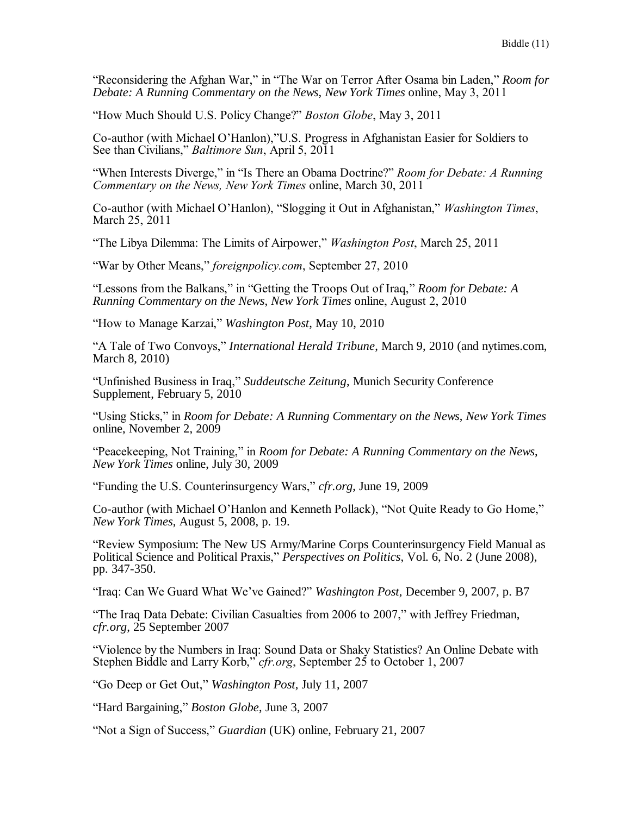"Reconsidering the Afghan War," in "The War on Terror After Osama bin Laden," *Room for Debate: A Running Commentary on the News*, *New York Times* online, May 3, 2011

"How Much Should U.S. Policy Change?" *Boston Globe*, May 3, 2011

Co-author (with Michael O'Hanlon),"U.S. Progress in Afghanistan Easier for Soldiers to See than Civilians," *Baltimore Sun*, April 5, 2011

"When Interests Diverge," in "Is There an Obama Doctrine?" *Room for Debate: A Running Commentary on the News, New York Times* online, March 30, 2011

Co-author (with Michael O'Hanlon), "Slogging it Out in Afghanistan," *Washington Times*, March 25, 2011

"The Libya Dilemma: The Limits of Airpower," *Washington Post*, March 25, 2011

"War by Other Means," *foreignpolicy.com*, September 27, 2010

"Lessons from the Balkans," in "Getting the Troops Out of Iraq," *Room for Debate: A Running Commentary on the News*, *New York Times* online, August 2, 2010

"How to Manage Karzai," *Washington Post*, May 10, 2010

"A Tale of Two Convoys," *International Herald Tribune*, March 9, 2010 (and nytimes.com, March 8, 2010)

"Unfinished Business in Iraq," *Suddeutsche Zeitung*, Munich Security Conference Supplement, February 5, 2010

"Using Sticks," in *Room for Debate: A Running Commentary on the News*, *New York Times* online, November 2, 2009

"Peacekeeping, Not Training," in *Room for Debate: A Running Commentary on the News*, *New York Times* online, July 30, 2009

"Funding the U.S. Counterinsurgency Wars," *cfr.org*, June 19, 2009

Co-author (with Michael O'Hanlon and Kenneth Pollack), "Not Quite Ready to Go Home," *New York Times*, August 5, 2008, p. 19.

"Review Symposium: The New US Army/Marine Corps Counterinsurgency Field Manual as Political Science and Political Praxis," *Perspectives on Politics*, Vol. 6, No. 2 (June 2008), pp. 347-350.

"Iraq: Can We Guard What We've Gained?" *Washington Post*, December 9, 2007, p. B7

"The Iraq Data Debate: Civilian Casualties from 2006 to 2007," with Jeffrey Friedman, *cfr.org*, 25 September 2007

"Violence by the Numbers in Iraq: Sound Data or Shaky Statistics? An Online Debate with Stephen Biddle and Larry Korb," *cfr.org*, September 25 to October 1, 2007

"Go Deep or Get Out," *Washington Post*, July 11, 2007

"Hard Bargaining," *Boston Globe*, June 3, 2007

"Not a Sign of Success," *Guardian* (UK) online, February 21, 2007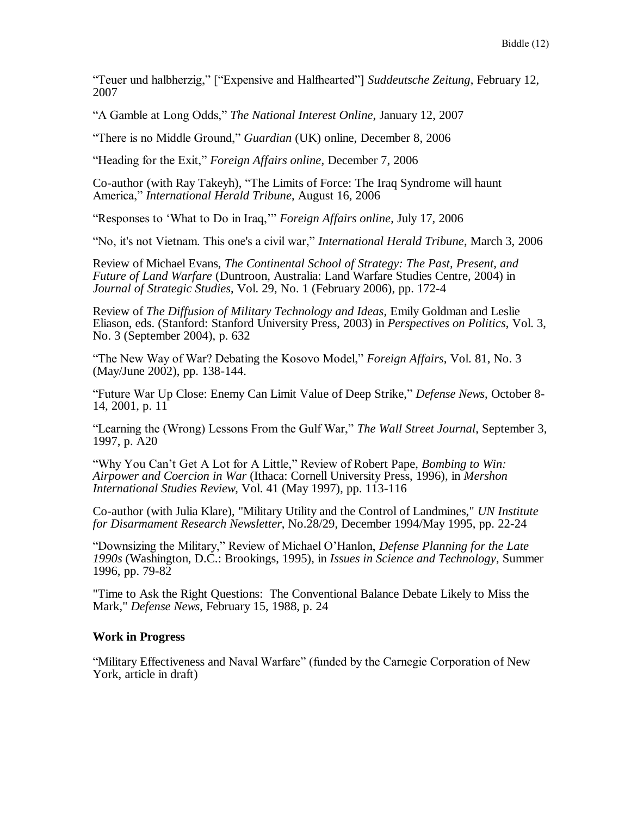"Teuer und halbherzig," ["Expensive and Halfhearted"] *Suddeutsche Zeitung*, February 12, 2007

"A Gamble at Long Odds," *The National Interest Online*, January 12, 2007

"There is no Middle Ground," *Guardian* (UK) online, December 8, 2006

"Heading for the Exit," *Foreign Affairs online*, December 7, 2006

Co-author (with Ray Takeyh), "The Limits of Force: The Iraq Syndrome will haunt America," *International Herald Tribune*, August 16, 2006

"Responses to 'What to Do in Iraq,'" *Foreign Affairs online*, July 17, 2006

"No, it's not Vietnam. This one's a civil war," *International Herald Tribune*, March 3, 2006

Review of Michael Evans, *The Continental School of Strategy: The Past, Present, and Future of Land Warfare* (Duntroon, Australia: Land Warfare Studies Centre, 2004) in *Journal of Strategic Studies*, Vol. 29, No. 1 (February 2006), pp. 172-4

Review of *The Diffusion of Military Technology and Ideas*, Emily Goldman and Leslie Eliason, eds. (Stanford: Stanford University Press, 2003) in *Perspectives on Politics*, Vol. 3, No. 3 (September 2004), p. 632

"The New Way of War? Debating the Kosovo Model," *Foreign Affairs*, Vol. 81, No. 3 (May/June 2002), pp. 138-144.

"Future War Up Close: Enemy Can Limit Value of Deep Strike," *Defense News*, October 8- 14, 2001, p. 11

"Learning the (Wrong) Lessons From the Gulf War," *The Wall Street Journal*, September 3, 1997, p. A20

"Why You Can't Get A Lot for A Little," Review of Robert Pape, *Bombing to Win: Airpower and Coercion in War* (Ithaca: Cornell University Press, 1996), in *Mershon International Studies Review*, Vol. 41 (May 1997), pp. 113-116

Co-author (with Julia Klare), "Military Utility and the Control of Landmines," *UN Institute for Disarmament Research Newsletter*, No.28/29, December 1994/May 1995, pp. 22-24

"Downsizing the Military," Review of Michael O'Hanlon, *Defense Planning for the Late 1990s* (Washington, D.C.: Brookings, 1995), in *Issues in Science and Technology*, Summer 1996, pp. 79-82

"Time to Ask the Right Questions: The Conventional Balance Debate Likely to Miss the Mark," *Defense News*, February 15, 1988, p. 24

### **Work in Progress**

"Military Effectiveness and Naval Warfare" (funded by the Carnegie Corporation of New York, article in draft)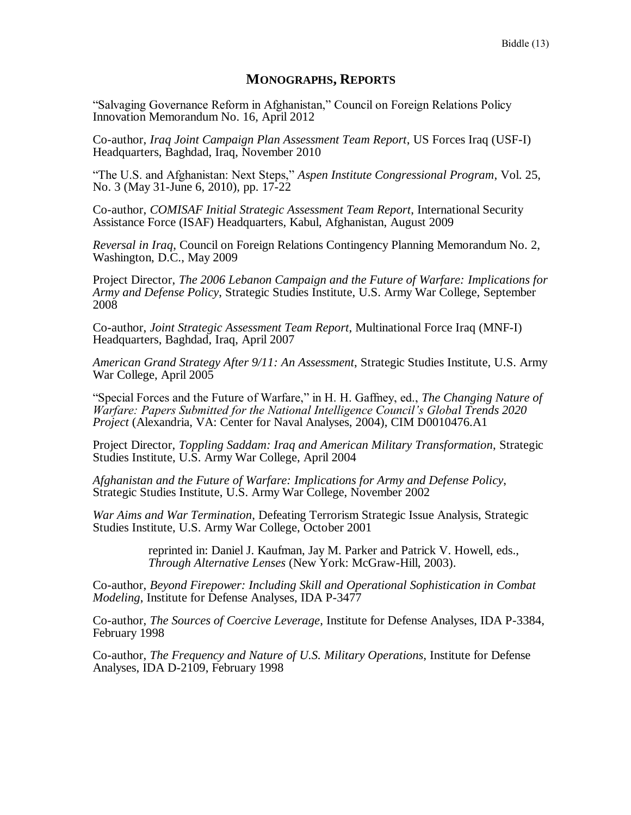### **MONOGRAPHS, REPORTS**

"Salvaging Governance Reform in Afghanistan," Council on Foreign Relations Policy Innovation Memorandum No. 16, April 2012

Co-author, *Iraq Joint Campaign Plan Assessment Team Report*, US Forces Iraq (USF-I) Headquarters, Baghdad, Iraq, November 2010

"The U.S. and Afghanistan: Next Steps," *Aspen Institute Congressional Program*, Vol. 25, No. 3 (May 31-June 6, 2010), pp. 17-22

Co-author, *COMISAF Initial Strategic Assessment Team Report*, International Security Assistance Force (ISAF) Headquarters, Kabul, Afghanistan, August 2009

*Reversal in Iraq*, Council on Foreign Relations Contingency Planning Memorandum No. 2, Washington, D.C., May 2009

Project Director, *The 2006 Lebanon Campaign and the Future of Warfare: Implications for Army and Defense Policy*, Strategic Studies Institute, U.S. Army War College, September 2008

Co-author, *Joint Strategic Assessment Team Report*, Multinational Force Iraq (MNF-I) Headquarters, Baghdad, Iraq, April 2007

*American Grand Strategy After 9/11: An Assessment*, Strategic Studies Institute, U.S. Army War College, April 2005

"Special Forces and the Future of Warfare," in H. H. Gaffney, ed., *The Changing Nature of Warfare: Papers Submitted for the National Intelligence Council's Global Trends 2020 Project* (Alexandria, VA: Center for Naval Analyses, 2004), CIM D0010476.A1

Project Director, *Toppling Saddam: Iraq and American Military Transformation*, Strategic Studies Institute, U.S. Army War College, April 2004

*Afghanistan and the Future of Warfare: Implications for Army and Defense Policy*, Strategic Studies Institute, U.S. Army War College, November 2002

*War Aims and War Termination*, Defeating Terrorism Strategic Issue Analysis, Strategic Studies Institute, U.S. Army War College, October 2001

> reprinted in: Daniel J. Kaufman, Jay M. Parker and Patrick V. Howell, eds., *Through Alternative Lenses* (New York: McGraw-Hill, 2003).

Co-author, *Beyond Firepower: Including Skill and Operational Sophistication in Combat Modeling*, Institute for Defense Analyses, IDA P-3477

Co-author, *The Sources of Coercive Leverage*, Institute for Defense Analyses, IDA P-3384, February 1998

Co-author, *The Frequency and Nature of U.S. Military Operations*, Institute for Defense Analyses, IDA D-2109, February 1998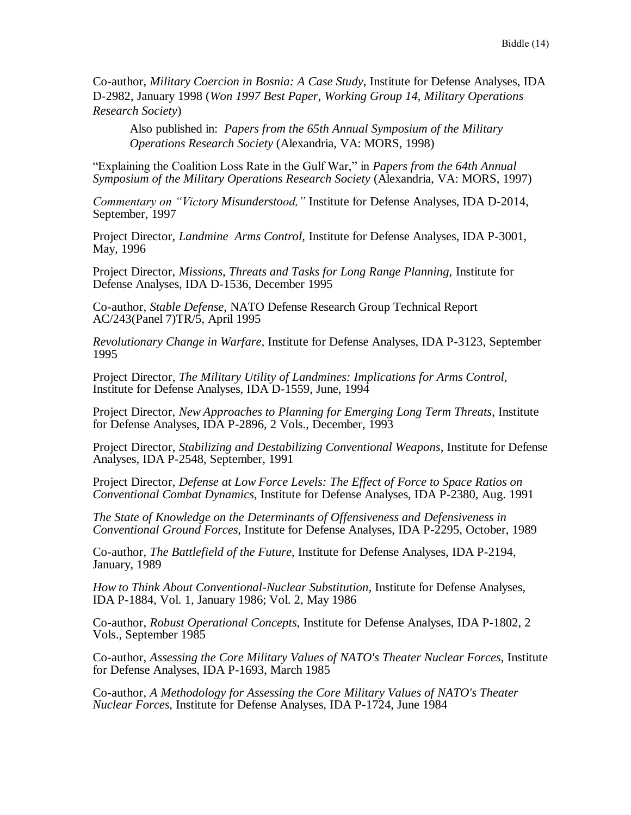Co-author, *Military Coercion in Bosnia: A Case Study*, Institute for Defense Analyses, IDA D-2982, January 1998 (*Won 1997 Best Paper, Working Group 14, Military Operations Research Society*)

Also published in: *Papers from the 65th Annual Symposium of the Military Operations Research Society* (Alexandria, VA: MORS, 1998)

"Explaining the Coalition Loss Rate in the Gulf War," in *Papers from the 64th Annual Symposium of the Military Operations Research Society* (Alexandria, VA: MORS, 1997)

*Commentary on "Victory Misunderstood,"* Institute for Defense Analyses, IDA D-2014, September, 1997

Project Director, *Landmine Arms Control,* Institute for Defense Analyses, IDA P-3001, May, 1996

Project Director, *Missions, Threats and Tasks for Long Range Planning,* Institute for Defense Analyses, IDA D-1536, December 1995

Co-author, *Stable Defense*, NATO Defense Research Group Technical Report AC/243(Panel 7)TR/5, April 1995

*Revolutionary Change in Warfare*, Institute for Defense Analyses, IDA P-3123, September 1995

Project Director, *The Military Utility of Landmines: Implications for Arms Control,*  Institute for Defense Analyses, IDA D-1559, June, 1994

Project Director, *New Approaches to Planning for Emerging Long Term Threats*, Institute for Defense Analyses, IDA P-2896, 2 Vols., December, 1993

Project Director, *Stabilizing and Destabilizing Conventional Weapons*, Institute for Defense Analyses, IDA P-2548, September, 1991

Project Director, *Defense at Low Force Levels: The Effect of Force to Space Ratios on Conventional Combat Dynamics*, Institute for Defense Analyses, IDA P-2380, Aug. 1991

*The State of Knowledge on the Determinants of Offensiveness and Defensiveness in Conventional Ground Forces*, Institute for Defense Analyses, IDA P-2295, October, 1989

Co-author, *The Battlefield of the Future*, Institute for Defense Analyses, IDA P-2194, January, 1989

*How to Think About Conventional-Nuclear Substitution*, Institute for Defense Analyses, IDA P-1884, Vol. 1, January 1986; Vol. 2, May 1986

Co-author, *Robust Operational Concepts*, Institute for Defense Analyses, IDA P-1802, 2 Vols., September 1985

Co-author, *Assessing the Core Military Values of NATO's Theater Nuclear Forces*, Institute for Defense Analyses, IDA P-1693, March 1985

Co-author, *A Methodology for Assessing the Core Military Values of NATO's Theater Nuclear Forces*, Institute for Defense Analyses, IDA P-1724, June 1984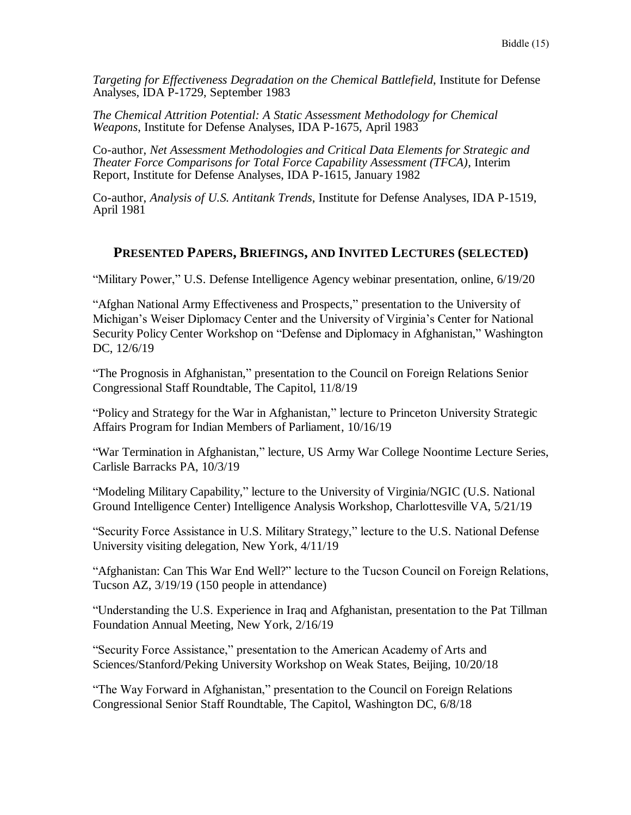*Targeting for Effectiveness Degradation on the Chemical Battlefield*, Institute for Defense Analyses, IDA P-1729, September 1983

*The Chemical Attrition Potential: A Static Assessment Methodology for Chemical Weapons*, Institute for Defense Analyses, IDA P-1675, April 1983

Co-author, *Net Assessment Methodologies and Critical Data Elements for Strategic and Theater Force Comparisons for Total Force Capability Assessment (TFCA)*, Interim Report, Institute for Defense Analyses, IDA P-1615, January 1982

Co-author, *Analysis of U.S. Antitank Trends*, Institute for Defense Analyses, IDA P-1519, April 1981

# **PRESENTED PAPERS, BRIEFINGS, AND INVITED LECTURES (SELECTED)**

"Military Power," U.S. Defense Intelligence Agency webinar presentation, online, 6/19/20

"Afghan National Army Effectiveness and Prospects," presentation to the University of Michigan's Weiser Diplomacy Center and the University of Virginia's Center for National Security Policy Center Workshop on "Defense and Diplomacy in Afghanistan," Washington DC, 12/6/19

"The Prognosis in Afghanistan," presentation to the Council on Foreign Relations Senior Congressional Staff Roundtable, The Capitol, 11/8/19

"Policy and Strategy for the War in Afghanistan," lecture to Princeton University Strategic Affairs Program for Indian Members of Parliament, 10/16/19

"War Termination in Afghanistan," lecture, US Army War College Noontime Lecture Series, Carlisle Barracks PA, 10/3/19

"Modeling Military Capability," lecture to the University of Virginia/NGIC (U.S. National Ground Intelligence Center) Intelligence Analysis Workshop, Charlottesville VA, 5/21/19

"Security Force Assistance in U.S. Military Strategy," lecture to the U.S. National Defense University visiting delegation, New York, 4/11/19

"Afghanistan: Can This War End Well?" lecture to the Tucson Council on Foreign Relations, Tucson AZ, 3/19/19 (150 people in attendance)

"Understanding the U.S. Experience in Iraq and Afghanistan, presentation to the Pat Tillman Foundation Annual Meeting, New York, 2/16/19

"Security Force Assistance," presentation to the American Academy of Arts and Sciences/Stanford/Peking University Workshop on Weak States, Beijing, 10/20/18

"The Way Forward in Afghanistan," presentation to the Council on Foreign Relations Congressional Senior Staff Roundtable, The Capitol, Washington DC, 6/8/18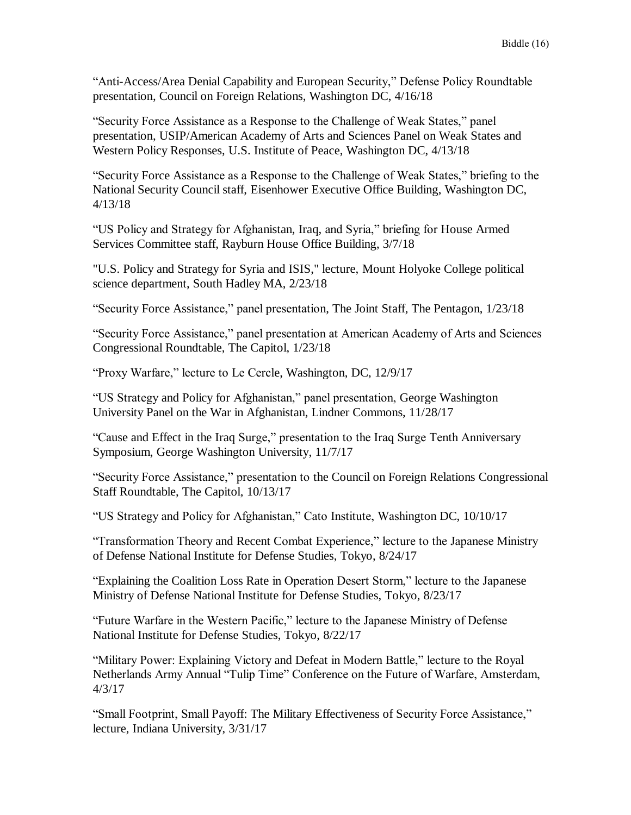"Anti-Access/Area Denial Capability and European Security," Defense Policy Roundtable presentation, Council on Foreign Relations, Washington DC, 4/16/18

"Security Force Assistance as a Response to the Challenge of Weak States," panel presentation, USIP/American Academy of Arts and Sciences Panel on Weak States and Western Policy Responses, U.S. Institute of Peace, Washington DC, 4/13/18

"Security Force Assistance as a Response to the Challenge of Weak States," briefing to the National Security Council staff, Eisenhower Executive Office Building, Washington DC, 4/13/18

"US Policy and Strategy for Afghanistan, Iraq, and Syria," briefing for House Armed Services Committee staff, Rayburn House Office Building, 3/7/18

"U.S. Policy and Strategy for Syria and ISIS," lecture, Mount Holyoke College political science department, South Hadley MA, 2/23/18

"Security Force Assistance," panel presentation, The Joint Staff, The Pentagon, 1/23/18

"Security Force Assistance," panel presentation at American Academy of Arts and Sciences Congressional Roundtable, The Capitol, 1/23/18

"Proxy Warfare," lecture to Le Cercle, Washington, DC, 12/9/17

"US Strategy and Policy for Afghanistan," panel presentation, George Washington University Panel on the War in Afghanistan, Lindner Commons, 11/28/17

"Cause and Effect in the Iraq Surge," presentation to the Iraq Surge Tenth Anniversary Symposium, George Washington University, 11/7/17

"Security Force Assistance," presentation to the Council on Foreign Relations Congressional Staff Roundtable, The Capitol, 10/13/17

"US Strategy and Policy for Afghanistan," Cato Institute, Washington DC, 10/10/17

"Transformation Theory and Recent Combat Experience," lecture to the Japanese Ministry of Defense National Institute for Defense Studies, Tokyo, 8/24/17

"Explaining the Coalition Loss Rate in Operation Desert Storm," lecture to the Japanese Ministry of Defense National Institute for Defense Studies, Tokyo, 8/23/17

"Future Warfare in the Western Pacific," lecture to the Japanese Ministry of Defense National Institute for Defense Studies, Tokyo, 8/22/17

"Military Power: Explaining Victory and Defeat in Modern Battle," lecture to the Royal Netherlands Army Annual "Tulip Time" Conference on the Future of Warfare, Amsterdam, 4/3/17

"Small Footprint, Small Payoff: The Military Effectiveness of Security Force Assistance," lecture, Indiana University, 3/31/17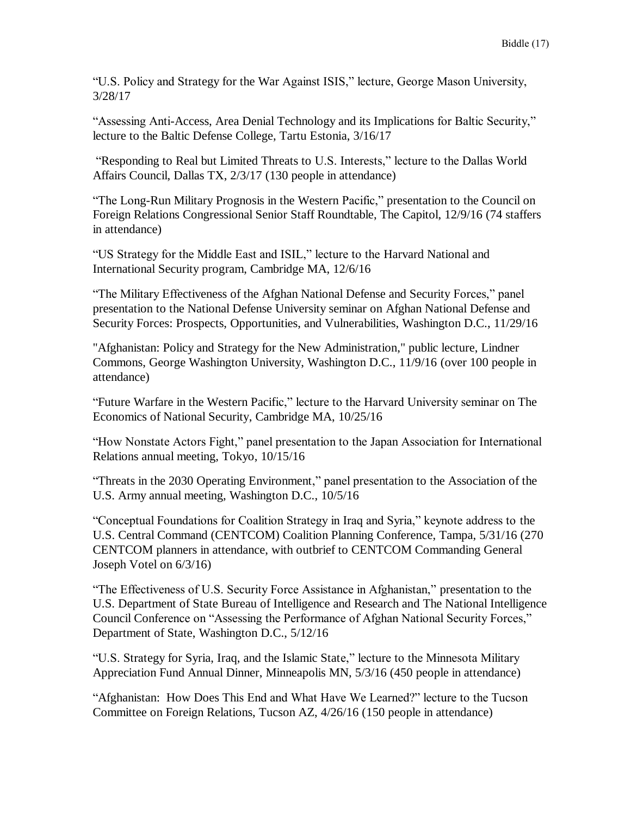"U.S. Policy and Strategy for the War Against ISIS," lecture, George Mason University, 3/28/17

"Assessing Anti-Access, Area Denial Technology and its Implications for Baltic Security," lecture to the Baltic Defense College, Tartu Estonia, 3/16/17

"Responding to Real but Limited Threats to U.S. Interests," lecture to the Dallas World Affairs Council, Dallas TX, 2/3/17 (130 people in attendance)

"The Long-Run Military Prognosis in the Western Pacific," presentation to the Council on Foreign Relations Congressional Senior Staff Roundtable, The Capitol, 12/9/16 (74 staffers in attendance)

"US Strategy for the Middle East and ISIL," lecture to the Harvard National and International Security program, Cambridge MA, 12/6/16

"The Military Effectiveness of the Afghan National Defense and Security Forces," panel presentation to the National Defense University seminar on Afghan National Defense and Security Forces: Prospects, Opportunities, and Vulnerabilities, Washington D.C., 11/29/16

"Afghanistan: Policy and Strategy for the New Administration," public lecture, Lindner Commons, George Washington University, Washington D.C., 11/9/16 (over 100 people in attendance)

"Future Warfare in the Western Pacific," lecture to the Harvard University seminar on The Economics of National Security, Cambridge MA, 10/25/16

"How Nonstate Actors Fight," panel presentation to the Japan Association for International Relations annual meeting, Tokyo, 10/15/16

"Threats in the 2030 Operating Environment," panel presentation to the Association of the U.S. Army annual meeting, Washington D.C., 10/5/16

"Conceptual Foundations for Coalition Strategy in Iraq and Syria," keynote address to the U.S. Central Command (CENTCOM) Coalition Planning Conference, Tampa, 5/31/16 (270 CENTCOM planners in attendance, with outbrief to CENTCOM Commanding General Joseph Votel on 6/3/16)

"The Effectiveness of U.S. Security Force Assistance in Afghanistan," presentation to the U.S. Department of State Bureau of Intelligence and Research and The National Intelligence Council Conference on "Assessing the Performance of Afghan National Security Forces," Department of State, Washington D.C., 5/12/16

"U.S. Strategy for Syria, Iraq, and the Islamic State," lecture to the Minnesota Military Appreciation Fund Annual Dinner, Minneapolis MN, 5/3/16 (450 people in attendance)

"Afghanistan: How Does This End and What Have We Learned?" lecture to the Tucson Committee on Foreign Relations, Tucson AZ, 4/26/16 (150 people in attendance)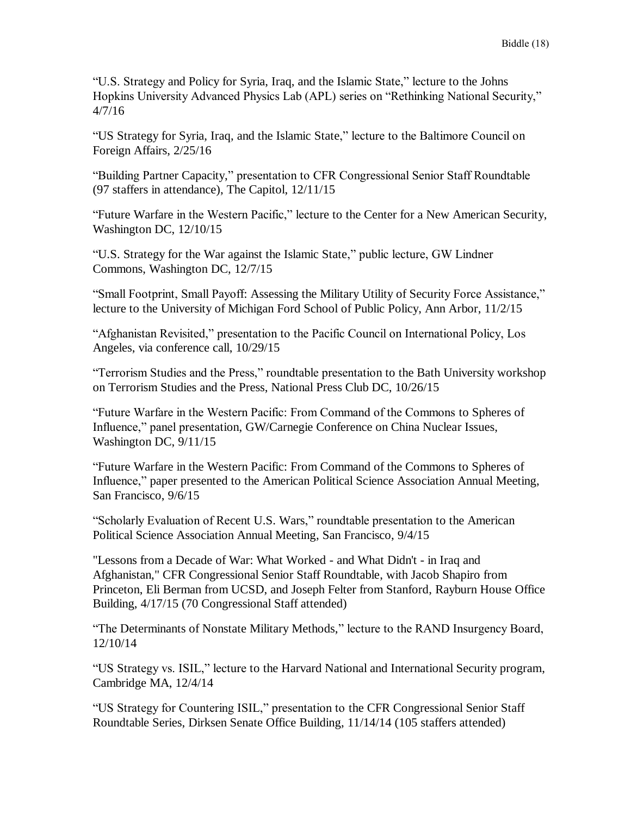"U.S. Strategy and Policy for Syria, Iraq, and the Islamic State," lecture to the Johns Hopkins University Advanced Physics Lab (APL) series on "Rethinking National Security," 4/7/16

"US Strategy for Syria, Iraq, and the Islamic State," lecture to the Baltimore Council on Foreign Affairs, 2/25/16

"Building Partner Capacity," presentation to CFR Congressional Senior Staff Roundtable (97 staffers in attendance), The Capitol, 12/11/15

"Future Warfare in the Western Pacific," lecture to the Center for a New American Security, Washington DC, 12/10/15

"U.S. Strategy for the War against the Islamic State," public lecture, GW Lindner Commons, Washington DC, 12/7/15

"Small Footprint, Small Payoff: Assessing the Military Utility of Security Force Assistance," lecture to the University of Michigan Ford School of Public Policy, Ann Arbor, 11/2/15

"Afghanistan Revisited," presentation to the Pacific Council on International Policy, Los Angeles, via conference call, 10/29/15

"Terrorism Studies and the Press," roundtable presentation to the Bath University workshop on Terrorism Studies and the Press, National Press Club DC, 10/26/15

"Future Warfare in the Western Pacific: From Command of the Commons to Spheres of Influence," panel presentation, GW/Carnegie Conference on China Nuclear Issues, Washington DC, 9/11/15

"Future Warfare in the Western Pacific: From Command of the Commons to Spheres of Influence," paper presented to the American Political Science Association Annual Meeting, San Francisco, 9/6/15

"Scholarly Evaluation of Recent U.S. Wars," roundtable presentation to the American Political Science Association Annual Meeting, San Francisco, 9/4/15

"Lessons from a Decade of War: What Worked - and What Didn't - in Iraq and Afghanistan," CFR Congressional Senior Staff Roundtable, with Jacob Shapiro from Princeton, Eli Berman from UCSD, and Joseph Felter from Stanford, Rayburn House Office Building, 4/17/15 (70 Congressional Staff attended)

"The Determinants of Nonstate Military Methods," lecture to the RAND Insurgency Board, 12/10/14

"US Strategy vs. ISIL," lecture to the Harvard National and International Security program, Cambridge MA, 12/4/14

"US Strategy for Countering ISIL," presentation to the CFR Congressional Senior Staff Roundtable Series, Dirksen Senate Office Building, 11/14/14 (105 staffers attended)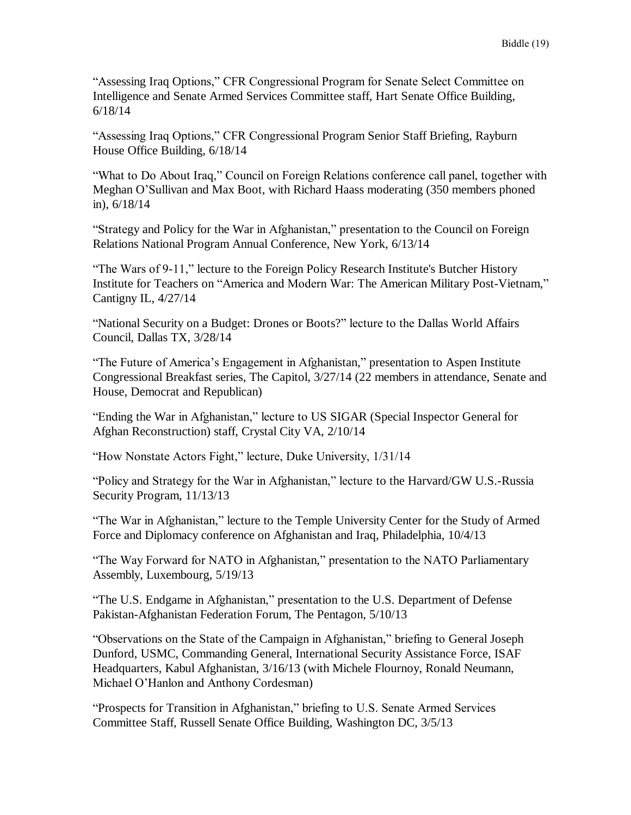"Assessing Iraq Options," CFR Congressional Program for Senate Select Committee on Intelligence and Senate Armed Services Committee staff, Hart Senate Office Building, 6/18/14

"Assessing Iraq Options," CFR Congressional Program Senior Staff Briefing, Rayburn House Office Building, 6/18/14

"What to Do About Iraq," Council on Foreign Relations conference call panel, together with Meghan O'Sullivan and Max Boot, with Richard Haass moderating (350 members phoned in), 6/18/14

"Strategy and Policy for the War in Afghanistan," presentation to the Council on Foreign Relations National Program Annual Conference, New York, 6/13/14

"The Wars of 9-11," lecture to the Foreign Policy Research Institute's Butcher History Institute for Teachers on "America and Modern War: The American Military Post-Vietnam," Cantigny IL, 4/27/14

"National Security on a Budget: Drones or Boots?" lecture to the Dallas World Affairs Council, Dallas TX, 3/28/14

"The Future of America's Engagement in Afghanistan," presentation to Aspen Institute Congressional Breakfast series, The Capitol, 3/27/14 (22 members in attendance, Senate and House, Democrat and Republican)

"Ending the War in Afghanistan," lecture to US SIGAR (Special Inspector General for Afghan Reconstruction) staff, Crystal City VA, 2/10/14

"How Nonstate Actors Fight," lecture, Duke University, 1/31/14

"Policy and Strategy for the War in Afghanistan," lecture to the Harvard/GW U.S.-Russia Security Program, 11/13/13

"The War in Afghanistan," lecture to the Temple University Center for the Study of Armed Force and Diplomacy conference on Afghanistan and Iraq, Philadelphia, 10/4/13

"The Way Forward for NATO in Afghanistan," presentation to the NATO Parliamentary Assembly, Luxembourg, 5/19/13

"The U.S. Endgame in Afghanistan," presentation to the U.S. Department of Defense Pakistan-Afghanistan Federation Forum, The Pentagon, 5/10/13

"Observations on the State of the Campaign in Afghanistan," briefing to General Joseph Dunford, USMC, Commanding General, International Security Assistance Force, ISAF Headquarters, Kabul Afghanistan, 3/16/13 (with Michele Flournoy, Ronald Neumann, Michael O'Hanlon and Anthony Cordesman)

"Prospects for Transition in Afghanistan," briefing to U.S. Senate Armed Services Committee Staff, Russell Senate Office Building, Washington DC, 3/5/13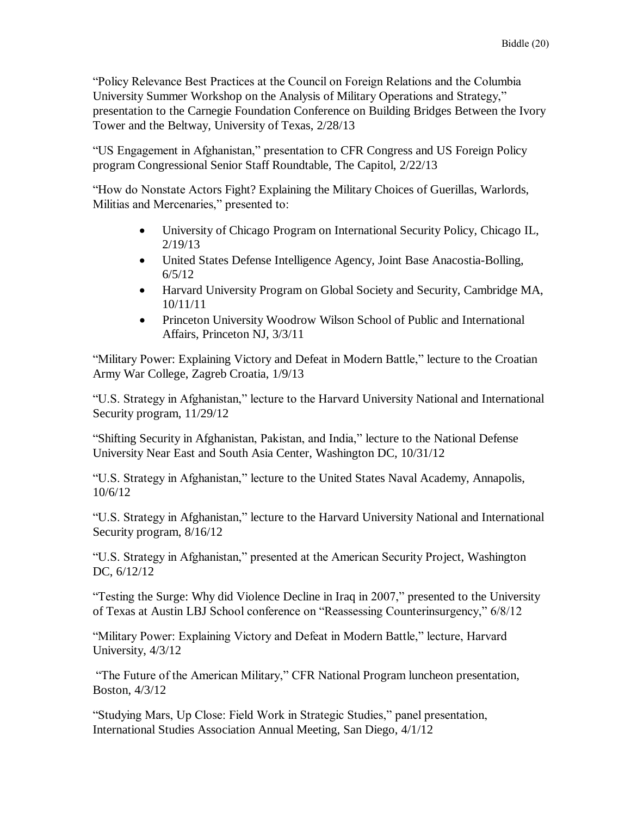"Policy Relevance Best Practices at the Council on Foreign Relations and the Columbia University Summer Workshop on the Analysis of Military Operations and Strategy," presentation to the Carnegie Foundation Conference on Building Bridges Between the Ivory Tower and the Beltway, University of Texas, 2/28/13

"US Engagement in Afghanistan," presentation to CFR Congress and US Foreign Policy program Congressional Senior Staff Roundtable, The Capitol, 2/22/13

"How do Nonstate Actors Fight? Explaining the Military Choices of Guerillas, Warlords, Militias and Mercenaries," presented to:

- University of Chicago Program on International Security Policy, Chicago IL, 2/19/13
- United States Defense Intelligence Agency, Joint Base Anacostia-Bolling, 6/5/12
- Harvard University Program on Global Society and Security, Cambridge MA, 10/11/11
- Princeton University Woodrow Wilson School of Public and International Affairs, Princeton NJ, 3/3/11

"Military Power: Explaining Victory and Defeat in Modern Battle," lecture to the Croatian Army War College, Zagreb Croatia, 1/9/13

"U.S. Strategy in Afghanistan," lecture to the Harvard University National and International Security program, 11/29/12

"Shifting Security in Afghanistan, Pakistan, and India," lecture to the National Defense University Near East and South Asia Center, Washington DC, 10/31/12

"U.S. Strategy in Afghanistan," lecture to the United States Naval Academy, Annapolis, 10/6/12

"U.S. Strategy in Afghanistan," lecture to the Harvard University National and International Security program, 8/16/12

"U.S. Strategy in Afghanistan," presented at the American Security Project, Washington DC, 6/12/12

"Testing the Surge: Why did Violence Decline in Iraq in 2007," presented to the University of Texas at Austin LBJ School conference on "Reassessing Counterinsurgency," 6/8/12

"Military Power: Explaining Victory and Defeat in Modern Battle," lecture, Harvard University, 4/3/12

"The Future of the American Military," CFR National Program luncheon presentation, Boston, 4/3/12

"Studying Mars, Up Close: Field Work in Strategic Studies," panel presentation, International Studies Association Annual Meeting, San Diego, 4/1/12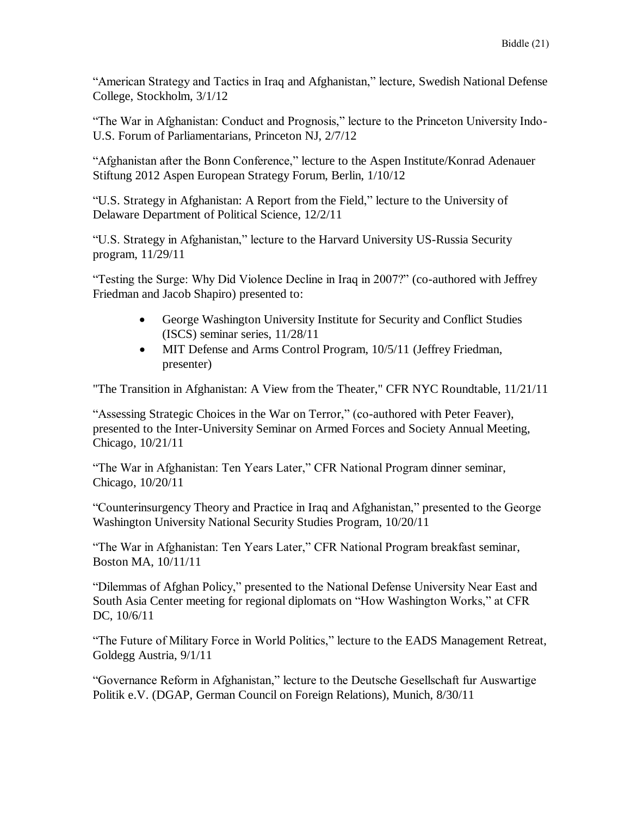"American Strategy and Tactics in Iraq and Afghanistan," lecture, Swedish National Defense College, Stockholm, 3/1/12

"The War in Afghanistan: Conduct and Prognosis," lecture to the Princeton University Indo-U.S. Forum of Parliamentarians, Princeton NJ, 2/7/12

"Afghanistan after the Bonn Conference," lecture to the Aspen Institute/Konrad Adenauer Stiftung 2012 Aspen European Strategy Forum, Berlin, 1/10/12

"U.S. Strategy in Afghanistan: A Report from the Field," lecture to the University of Delaware Department of Political Science, 12/2/11

"U.S. Strategy in Afghanistan," lecture to the Harvard University US-Russia Security program, 11/29/11

"Testing the Surge: Why Did Violence Decline in Iraq in 2007?" (co-authored with Jeffrey Friedman and Jacob Shapiro) presented to:

- George Washington University Institute for Security and Conflict Studies (ISCS) seminar series, 11/28/11
- MIT Defense and Arms Control Program, 10/5/11 (Jeffrey Friedman, presenter)

"The Transition in Afghanistan: A View from the Theater," CFR NYC Roundtable, 11/21/11

"Assessing Strategic Choices in the War on Terror," (co-authored with Peter Feaver), presented to the Inter-University Seminar on Armed Forces and Society Annual Meeting, Chicago, 10/21/11

"The War in Afghanistan: Ten Years Later," CFR National Program dinner seminar, Chicago, 10/20/11

"Counterinsurgency Theory and Practice in Iraq and Afghanistan," presented to the George Washington University National Security Studies Program, 10/20/11

"The War in Afghanistan: Ten Years Later," CFR National Program breakfast seminar, Boston MA, 10/11/11

"Dilemmas of Afghan Policy," presented to the National Defense University Near East and South Asia Center meeting for regional diplomats on "How Washington Works," at CFR DC, 10/6/11

"The Future of Military Force in World Politics," lecture to the EADS Management Retreat, Goldegg Austria, 9/1/11

"Governance Reform in Afghanistan," lecture to the Deutsche Gesellschaft fur Auswartige Politik e.V. (DGAP, German Council on Foreign Relations), Munich, 8/30/11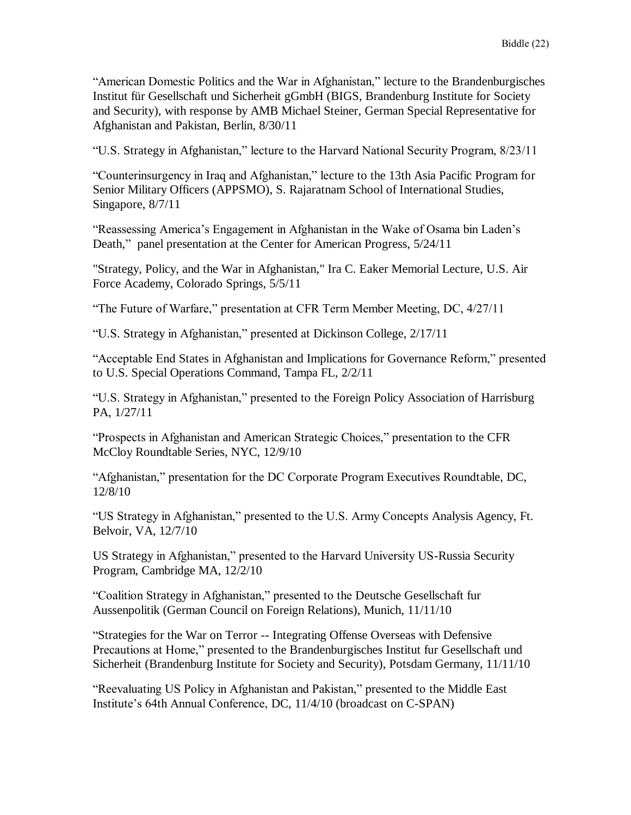"American Domestic Politics and the War in Afghanistan," lecture to the Brandenburgisches Institut für Gesellschaft und Sicherheit gGmbH (BIGS, Brandenburg Institute for Society and Security), with response by AMB Michael Steiner, German Special Representative for Afghanistan and Pakistan, Berlin, 8/30/11

"U.S. Strategy in Afghanistan," lecture to the Harvard National Security Program, 8/23/11

"Counterinsurgency in Iraq and Afghanistan," lecture to the 13th Asia Pacific Program for Senior Military Officers (APPSMO), S. Rajaratnam School of International Studies, Singapore, 8/7/11

"Reassessing America's Engagement in Afghanistan in the Wake of Osama bin Laden's Death," panel presentation at the Center for American Progress, 5/24/11

"Strategy, Policy, and the War in Afghanistan," Ira C. Eaker Memorial Lecture, U.S. Air Force Academy, Colorado Springs, 5/5/11

"The Future of Warfare," presentation at CFR Term Member Meeting, DC, 4/27/11

"U.S. Strategy in Afghanistan," presented at Dickinson College, 2/17/11

"Acceptable End States in Afghanistan and Implications for Governance Reform," presented to U.S. Special Operations Command, Tampa FL, 2/2/11

"U.S. Strategy in Afghanistan," presented to the Foreign Policy Association of Harrisburg PA, 1/27/11

"Prospects in Afghanistan and American Strategic Choices," presentation to the CFR McCloy Roundtable Series, NYC, 12/9/10

"Afghanistan," presentation for the DC Corporate Program Executives Roundtable, DC, 12/8/10

"US Strategy in Afghanistan," presented to the U.S. Army Concepts Analysis Agency, Ft. Belvoir, VA, 12/7/10

US Strategy in Afghanistan," presented to the Harvard University US-Russia Security Program, Cambridge MA, 12/2/10

"Coalition Strategy in Afghanistan," presented to the Deutsche Gesellschaft fur Aussenpolitik (German Council on Foreign Relations), Munich, 11/11/10

"Strategies for the War on Terror -- Integrating Offense Overseas with Defensive Precautions at Home," presented to the Brandenburgisches Institut fur Gesellschaft und Sicherheit (Brandenburg Institute for Society and Security), Potsdam Germany, 11/11/10

"Reevaluating US Policy in Afghanistan and Pakistan," presented to the Middle East Institute's 64th Annual Conference, DC, 11/4/10 (broadcast on C-SPAN)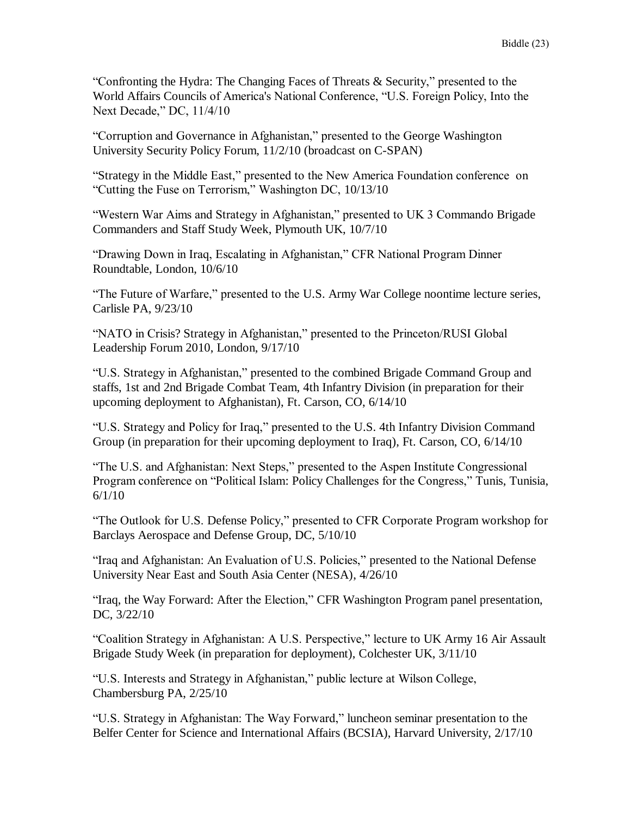"Confronting the Hydra: The Changing Faces of Threats & Security," presented to the World Affairs Councils of America's National Conference, "U.S. Foreign Policy, Into the Next Decade," DC, 11/4/10

"Corruption and Governance in Afghanistan," presented to the George Washington University Security Policy Forum, 11/2/10 (broadcast on C-SPAN)

"Strategy in the Middle East," presented to the New America Foundation conference on "Cutting the Fuse on Terrorism," Washington DC, 10/13/10

"Western War Aims and Strategy in Afghanistan," presented to UK 3 Commando Brigade Commanders and Staff Study Week, Plymouth UK, 10/7/10

"Drawing Down in Iraq, Escalating in Afghanistan," CFR National Program Dinner Roundtable, London, 10/6/10

"The Future of Warfare," presented to the U.S. Army War College noontime lecture series, Carlisle PA, 9/23/10

"NATO in Crisis? Strategy in Afghanistan," presented to the Princeton/RUSI Global Leadership Forum 2010, London, 9/17/10

"U.S. Strategy in Afghanistan," presented to the combined Brigade Command Group and staffs, 1st and 2nd Brigade Combat Team, 4th Infantry Division (in preparation for their upcoming deployment to Afghanistan), Ft. Carson, CO, 6/14/10

"U.S. Strategy and Policy for Iraq," presented to the U.S. 4th Infantry Division Command Group (in preparation for their upcoming deployment to Iraq), Ft. Carson, CO, 6/14/10

"The U.S. and Afghanistan: Next Steps," presented to the Aspen Institute Congressional Program conference on "Political Islam: Policy Challenges for the Congress," Tunis, Tunisia, 6/1/10

"The Outlook for U.S. Defense Policy," presented to CFR Corporate Program workshop for Barclays Aerospace and Defense Group, DC, 5/10/10

"Iraq and Afghanistan: An Evaluation of U.S. Policies," presented to the National Defense University Near East and South Asia Center (NESA), 4/26/10

"Iraq, the Way Forward: After the Election," CFR Washington Program panel presentation, DC, 3/22/10

"Coalition Strategy in Afghanistan: A U.S. Perspective," lecture to UK Army 16 Air Assault Brigade Study Week (in preparation for deployment), Colchester UK, 3/11/10

"U.S. Interests and Strategy in Afghanistan," public lecture at Wilson College, Chambersburg PA, 2/25/10

"U.S. Strategy in Afghanistan: The Way Forward," luncheon seminar presentation to the Belfer Center for Science and International Affairs (BCSIA), Harvard University, 2/17/10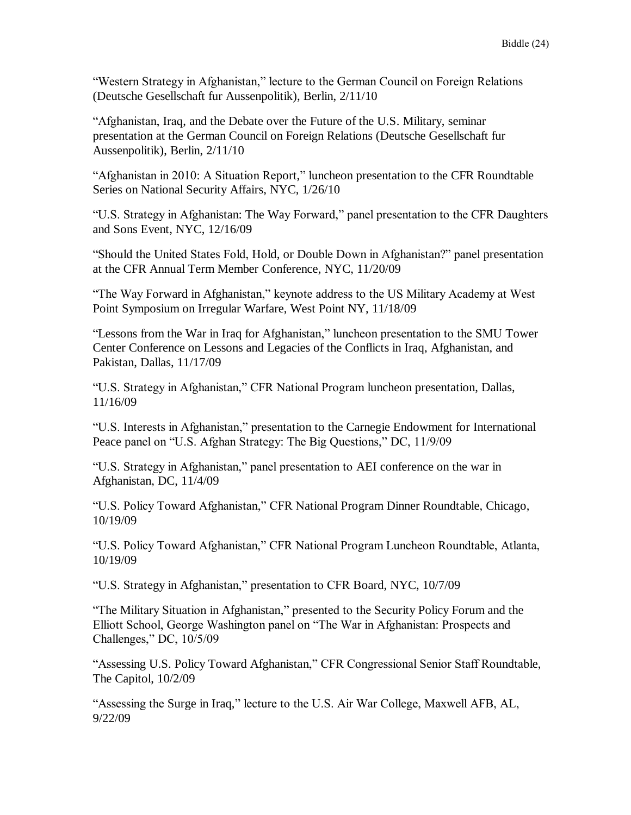"Western Strategy in Afghanistan," lecture to the German Council on Foreign Relations (Deutsche Gesellschaft fur Aussenpolitik), Berlin, 2/11/10

"Afghanistan, Iraq, and the Debate over the Future of the U.S. Military, seminar presentation at the German Council on Foreign Relations (Deutsche Gesellschaft fur Aussenpolitik), Berlin, 2/11/10

"Afghanistan in 2010: A Situation Report," luncheon presentation to the CFR Roundtable Series on National Security Affairs, NYC, 1/26/10

"U.S. Strategy in Afghanistan: The Way Forward," panel presentation to the CFR Daughters and Sons Event, NYC, 12/16/09

"Should the United States Fold, Hold, or Double Down in Afghanistan?" panel presentation at the CFR Annual Term Member Conference, NYC, 11/20/09

"The Way Forward in Afghanistan," keynote address to the US Military Academy at West Point Symposium on Irregular Warfare, West Point NY, 11/18/09

"Lessons from the War in Iraq for Afghanistan," luncheon presentation to the SMU Tower Center Conference on Lessons and Legacies of the Conflicts in Iraq, Afghanistan, and Pakistan, Dallas, 11/17/09

"U.S. Strategy in Afghanistan," CFR National Program luncheon presentation, Dallas, 11/16/09

"U.S. Interests in Afghanistan," presentation to the Carnegie Endowment for International Peace panel on "U.S. Afghan Strategy: The Big Questions," DC, 11/9/09

"U.S. Strategy in Afghanistan," panel presentation to AEI conference on the war in Afghanistan, DC, 11/4/09

"U.S. Policy Toward Afghanistan," CFR National Program Dinner Roundtable, Chicago, 10/19/09

"U.S. Policy Toward Afghanistan," CFR National Program Luncheon Roundtable, Atlanta, 10/19/09

"U.S. Strategy in Afghanistan," presentation to CFR Board, NYC, 10/7/09

"The Military Situation in Afghanistan," presented to the Security Policy Forum and the Elliott School, George Washington panel on "The War in Afghanistan: Prospects and Challenges," DC, 10/5/09

"Assessing U.S. Policy Toward Afghanistan," CFR Congressional Senior Staff Roundtable, The Capitol, 10/2/09

"Assessing the Surge in Iraq," lecture to the U.S. Air War College, Maxwell AFB, AL, 9/22/09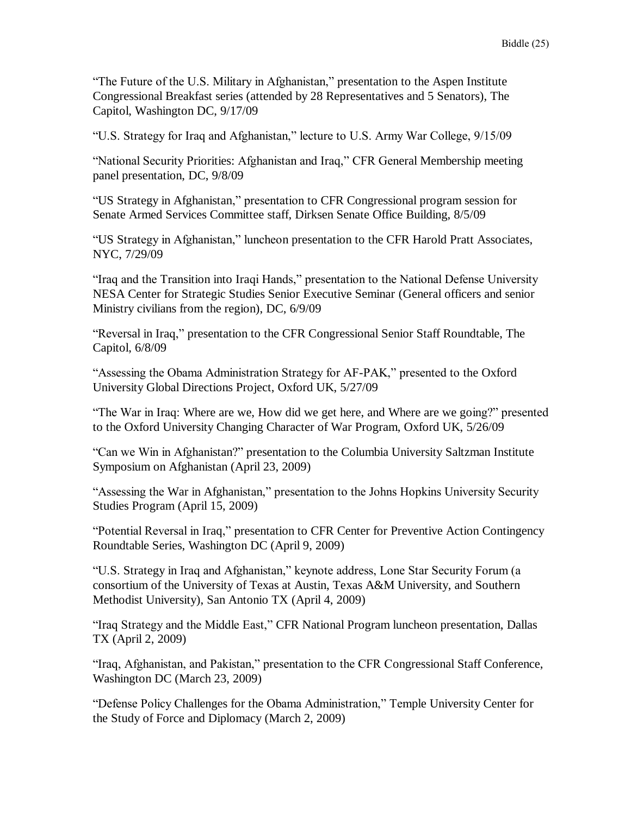"The Future of the U.S. Military in Afghanistan," presentation to the Aspen Institute Congressional Breakfast series (attended by 28 Representatives and 5 Senators), The Capitol, Washington DC, 9/17/09

"U.S. Strategy for Iraq and Afghanistan," lecture to U.S. Army War College, 9/15/09

"National Security Priorities: Afghanistan and Iraq," CFR General Membership meeting panel presentation, DC, 9/8/09

"US Strategy in Afghanistan," presentation to CFR Congressional program session for Senate Armed Services Committee staff, Dirksen Senate Office Building, 8/5/09

"US Strategy in Afghanistan," luncheon presentation to the CFR Harold Pratt Associates, NYC, 7/29/09

"Iraq and the Transition into Iraqi Hands," presentation to the National Defense University NESA Center for Strategic Studies Senior Executive Seminar (General officers and senior Ministry civilians from the region), DC, 6/9/09

"Reversal in Iraq," presentation to the CFR Congressional Senior Staff Roundtable, The Capitol, 6/8/09

"Assessing the Obama Administration Strategy for AF-PAK," presented to the Oxford University Global Directions Project, Oxford UK, 5/27/09

"The War in Iraq: Where are we, How did we get here, and Where are we going?" presented to the Oxford University Changing Character of War Program, Oxford UK, 5/26/09

"Can we Win in Afghanistan?" presentation to the Columbia University Saltzman Institute Symposium on Afghanistan (April 23, 2009)

"Assessing the War in Afghanistan," presentation to the Johns Hopkins University Security Studies Program (April 15, 2009)

"Potential Reversal in Iraq," presentation to CFR Center for Preventive Action Contingency Roundtable Series, Washington DC (April 9, 2009)

"U.S. Strategy in Iraq and Afghanistan," keynote address, Lone Star Security Forum (a consortium of the University of Texas at Austin, Texas A&M University, and Southern Methodist University), San Antonio TX (April 4, 2009)

"Iraq Strategy and the Middle East," CFR National Program luncheon presentation, Dallas TX (April 2, 2009)

"Iraq, Afghanistan, and Pakistan," presentation to the CFR Congressional Staff Conference, Washington DC (March 23, 2009)

"Defense Policy Challenges for the Obama Administration," Temple University Center for the Study of Force and Diplomacy (March 2, 2009)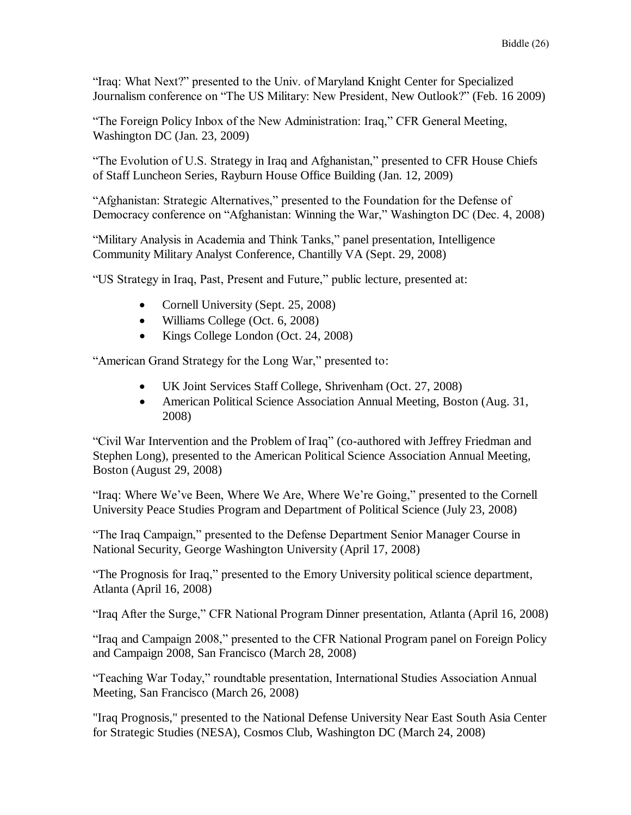"Iraq: What Next?" presented to the Univ. of Maryland Knight Center for Specialized Journalism conference on "The US Military: New President, New Outlook?" (Feb. 16 2009)

"The Foreign Policy Inbox of the New Administration: Iraq," CFR General Meeting, Washington DC (Jan. 23, 2009)

"The Evolution of U.S. Strategy in Iraq and Afghanistan," presented to CFR House Chiefs of Staff Luncheon Series, Rayburn House Office Building (Jan. 12, 2009)

"Afghanistan: Strategic Alternatives," presented to the Foundation for the Defense of Democracy conference on "Afghanistan: Winning the War," Washington DC (Dec. 4, 2008)

"Military Analysis in Academia and Think Tanks," panel presentation, Intelligence Community Military Analyst Conference, Chantilly VA (Sept. 29, 2008)

"US Strategy in Iraq, Past, Present and Future," public lecture, presented at:

- Cornell University (Sept. 25, 2008)
- Williams College (Oct. 6, 2008)
- Kings College London (Oct. 24, 2008)

"American Grand Strategy for the Long War," presented to:

- UK Joint Services Staff College, Shrivenham (Oct. 27, 2008)
- American Political Science Association Annual Meeting, Boston (Aug. 31, 2008)

"Civil War Intervention and the Problem of Iraq" (co-authored with Jeffrey Friedman and Stephen Long), presented to the American Political Science Association Annual Meeting, Boston (August 29, 2008)

"Iraq: Where We've Been, Where We Are, Where We're Going," presented to the Cornell University Peace Studies Program and Department of Political Science (July 23, 2008)

"The Iraq Campaign," presented to the Defense Department Senior Manager Course in National Security, George Washington University (April 17, 2008)

"The Prognosis for Iraq," presented to the Emory University political science department, Atlanta (April 16, 2008)

"Iraq After the Surge," CFR National Program Dinner presentation, Atlanta (April 16, 2008)

"Iraq and Campaign 2008," presented to the CFR National Program panel on Foreign Policy and Campaign 2008, San Francisco (March 28, 2008)

"Teaching War Today," roundtable presentation, International Studies Association Annual Meeting, San Francisco (March 26, 2008)

"Iraq Prognosis," presented to the National Defense University Near East South Asia Center for Strategic Studies (NESA), Cosmos Club, Washington DC (March 24, 2008)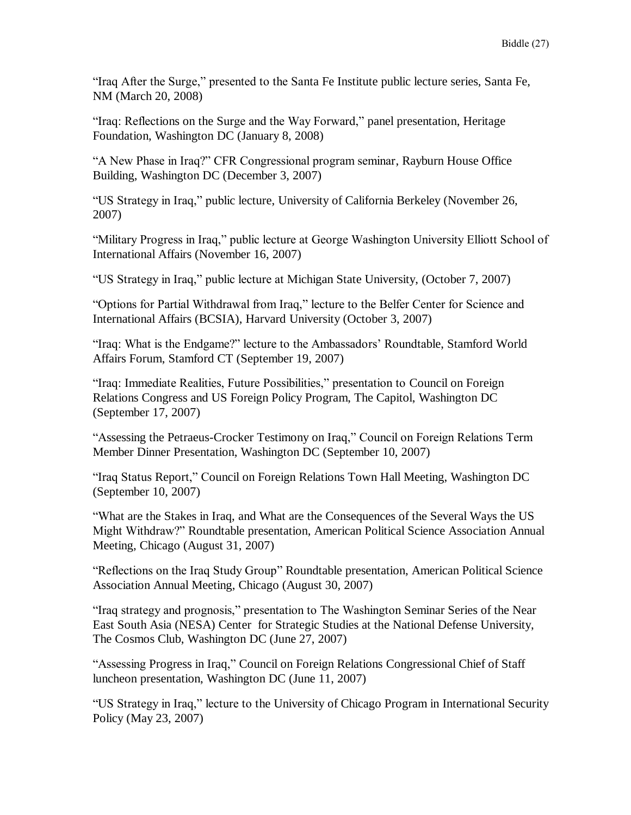"Iraq After the Surge," presented to the Santa Fe Institute public lecture series, Santa Fe, NM (March 20, 2008)

"Iraq: Reflections on the Surge and the Way Forward," panel presentation, Heritage Foundation, Washington DC (January 8, 2008)

"A New Phase in Iraq?" CFR Congressional program seminar, Rayburn House Office Building, Washington DC (December 3, 2007)

"US Strategy in Iraq," public lecture, University of California Berkeley (November 26, 2007)

"Military Progress in Iraq," public lecture at George Washington University Elliott School of International Affairs (November 16, 2007)

"US Strategy in Iraq," public lecture at Michigan State University, (October 7, 2007)

"Options for Partial Withdrawal from Iraq," lecture to the Belfer Center for Science and International Affairs (BCSIA), Harvard University (October 3, 2007)

"Iraq: What is the Endgame?" lecture to the Ambassadors' Roundtable, Stamford World Affairs Forum, Stamford CT (September 19, 2007)

"Iraq: Immediate Realities, Future Possibilities," presentation to Council on Foreign Relations Congress and US Foreign Policy Program, The Capitol, Washington DC (September 17, 2007)

"Assessing the Petraeus-Crocker Testimony on Iraq," Council on Foreign Relations Term Member Dinner Presentation, Washington DC (September 10, 2007)

"Iraq Status Report," Council on Foreign Relations Town Hall Meeting, Washington DC (September 10, 2007)

"What are the Stakes in Iraq, and What are the Consequences of the Several Ways the US Might Withdraw?" Roundtable presentation, American Political Science Association Annual Meeting, Chicago (August 31, 2007)

"Reflections on the Iraq Study Group" Roundtable presentation, American Political Science Association Annual Meeting, Chicago (August 30, 2007)

"Iraq strategy and prognosis," presentation to The Washington Seminar Series of the Near East South Asia (NESA) Center for Strategic Studies at the National Defense University, The Cosmos Club, Washington DC (June 27, 2007)

"Assessing Progress in Iraq," Council on Foreign Relations Congressional Chief of Staff luncheon presentation, Washington DC (June 11, 2007)

"US Strategy in Iraq," lecture to the University of Chicago Program in International Security Policy (May 23, 2007)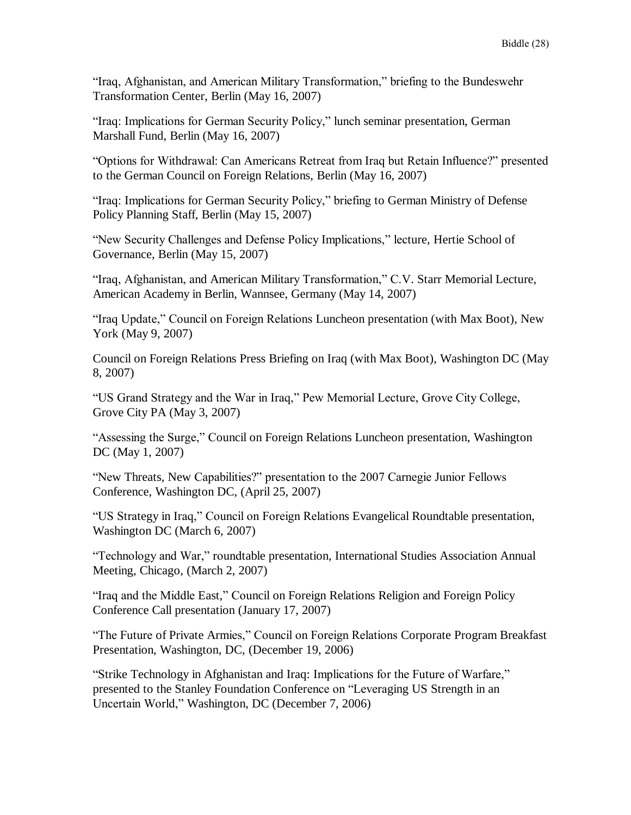"Iraq, Afghanistan, and American Military Transformation," briefing to the Bundeswehr Transformation Center, Berlin (May 16, 2007)

"Iraq: Implications for German Security Policy," lunch seminar presentation, German Marshall Fund, Berlin (May 16, 2007)

"Options for Withdrawal: Can Americans Retreat from Iraq but Retain Influence?" presented to the German Council on Foreign Relations, Berlin (May 16, 2007)

"Iraq: Implications for German Security Policy," briefing to German Ministry of Defense Policy Planning Staff, Berlin (May 15, 2007)

"New Security Challenges and Defense Policy Implications," lecture, Hertie School of Governance, Berlin (May 15, 2007)

"Iraq, Afghanistan, and American Military Transformation," C.V. Starr Memorial Lecture, American Academy in Berlin, Wannsee, Germany (May 14, 2007)

"Iraq Update," Council on Foreign Relations Luncheon presentation (with Max Boot), New York (May 9, 2007)

Council on Foreign Relations Press Briefing on Iraq (with Max Boot), Washington DC (May 8, 2007)

"US Grand Strategy and the War in Iraq," Pew Memorial Lecture, Grove City College, Grove City PA (May 3, 2007)

"Assessing the Surge," Council on Foreign Relations Luncheon presentation, Washington DC (May 1, 2007)

"New Threats, New Capabilities?" presentation to the 2007 Carnegie Junior Fellows Conference, Washington DC, (April 25, 2007)

"US Strategy in Iraq," Council on Foreign Relations Evangelical Roundtable presentation, Washington DC (March 6, 2007)

"Technology and War," roundtable presentation, International Studies Association Annual Meeting, Chicago, (March 2, 2007)

"Iraq and the Middle East," Council on Foreign Relations Religion and Foreign Policy Conference Call presentation (January 17, 2007)

"The Future of Private Armies," Council on Foreign Relations Corporate Program Breakfast Presentation, Washington, DC, (December 19, 2006)

"Strike Technology in Afghanistan and Iraq: Implications for the Future of Warfare," presented to the Stanley Foundation Conference on "Leveraging US Strength in an Uncertain World," Washington, DC (December 7, 2006)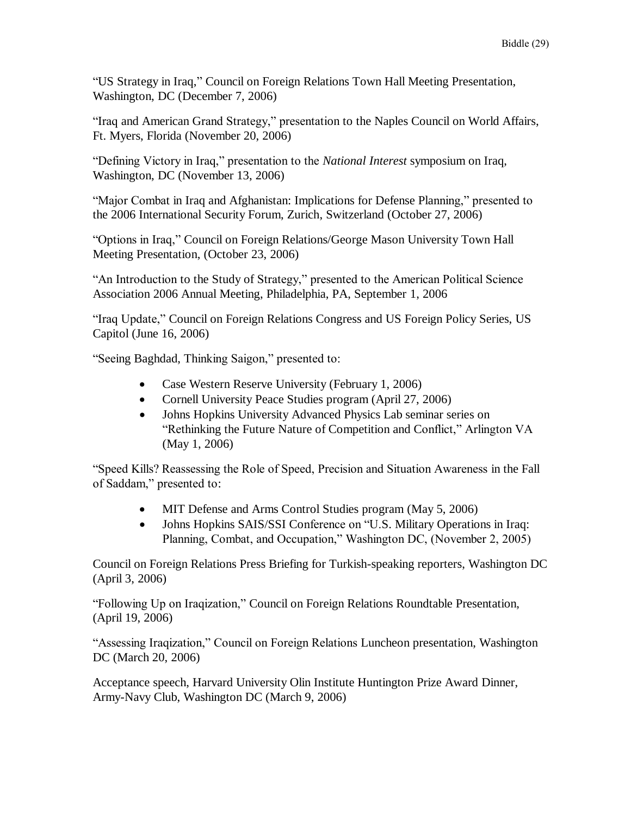"US Strategy in Iraq," Council on Foreign Relations Town Hall Meeting Presentation, Washington, DC (December 7, 2006)

"Iraq and American Grand Strategy," presentation to the Naples Council on World Affairs, Ft. Myers, Florida (November 20, 2006)

"Defining Victory in Iraq," presentation to the *National Interest* symposium on Iraq, Washington, DC (November 13, 2006)

"Major Combat in Iraq and Afghanistan: Implications for Defense Planning," presented to the 2006 International Security Forum, Zurich, Switzerland (October 27, 2006)

"Options in Iraq," Council on Foreign Relations/George Mason University Town Hall Meeting Presentation, (October 23, 2006)

"An Introduction to the Study of Strategy," presented to the American Political Science Association 2006 Annual Meeting, Philadelphia, PA, September 1, 2006

"Iraq Update," Council on Foreign Relations Congress and US Foreign Policy Series, US Capitol (June 16, 2006)

"Seeing Baghdad, Thinking Saigon," presented to:

- Case Western Reserve University (February 1, 2006)
- Cornell University Peace Studies program (April 27, 2006)
- Johns Hopkins University Advanced Physics Lab seminar series on "Rethinking the Future Nature of Competition and Conflict," Arlington VA (May 1, 2006)

"Speed Kills? Reassessing the Role of Speed, Precision and Situation Awareness in the Fall of Saddam," presented to:

- MIT Defense and Arms Control Studies program (May 5, 2006)
- Johns Hopkins SAIS/SSI Conference on "U.S. Military Operations in Iraq: Planning, Combat, and Occupation," Washington DC, (November 2, 2005)

Council on Foreign Relations Press Briefing for Turkish-speaking reporters, Washington DC (April 3, 2006)

"Following Up on Iraqization," Council on Foreign Relations Roundtable Presentation, (April 19, 2006)

"Assessing Iraqization," Council on Foreign Relations Luncheon presentation, Washington DC (March 20, 2006)

Acceptance speech, Harvard University Olin Institute Huntington Prize Award Dinner, Army-Navy Club, Washington DC (March 9, 2006)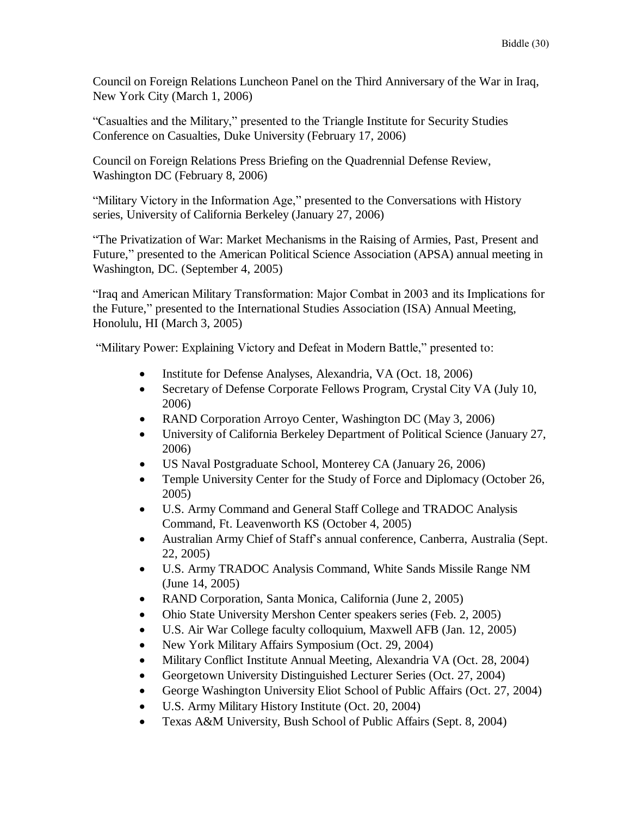Council on Foreign Relations Luncheon Panel on the Third Anniversary of the War in Iraq, New York City (March 1, 2006)

"Casualties and the Military," presented to the Triangle Institute for Security Studies Conference on Casualties, Duke University (February 17, 2006)

Council on Foreign Relations Press Briefing on the Quadrennial Defense Review, Washington DC (February 8, 2006)

"Military Victory in the Information Age," presented to the Conversations with History series, University of California Berkeley (January 27, 2006)

"The Privatization of War: Market Mechanisms in the Raising of Armies, Past, Present and Future," presented to the American Political Science Association (APSA) annual meeting in Washington, DC. (September 4, 2005)

"Iraq and American Military Transformation: Major Combat in 2003 and its Implications for the Future," presented to the International Studies Association (ISA) Annual Meeting, Honolulu, HI (March 3, 2005)

"Military Power: Explaining Victory and Defeat in Modern Battle," presented to:

- Institute for Defense Analyses, Alexandria, VA (Oct. 18, 2006)
- Secretary of Defense Corporate Fellows Program, Crystal City VA (July 10, 2006)
- RAND Corporation Arroyo Center, Washington DC (May 3, 2006)
- University of California Berkeley Department of Political Science (January 27, 2006)
- US Naval Postgraduate School, Monterey CA (January 26, 2006)
- Temple University Center for the Study of Force and Diplomacy (October 26, 2005)
- U.S. Army Command and General Staff College and TRADOC Analysis Command, Ft. Leavenworth KS (October 4, 2005)
- Australian Army Chief of Staff's annual conference, Canberra, Australia (Sept. 22, 2005)
- U.S. Army TRADOC Analysis Command, White Sands Missile Range NM (June 14, 2005)
- RAND Corporation, Santa Monica, California (June 2, 2005)
- Ohio State University Mershon Center speakers series (Feb. 2, 2005)
- U.S. Air War College faculty colloquium, Maxwell AFB (Jan. 12, 2005)
- New York Military Affairs Symposium (Oct. 29, 2004)
- Military Conflict Institute Annual Meeting, Alexandria VA (Oct. 28, 2004)
- Georgetown University Distinguished Lecturer Series (Oct. 27, 2004)
- George Washington University Eliot School of Public Affairs (Oct. 27, 2004)
- U.S. Army Military History Institute (Oct. 20, 2004)
- Texas A&M University, Bush School of Public Affairs (Sept. 8, 2004)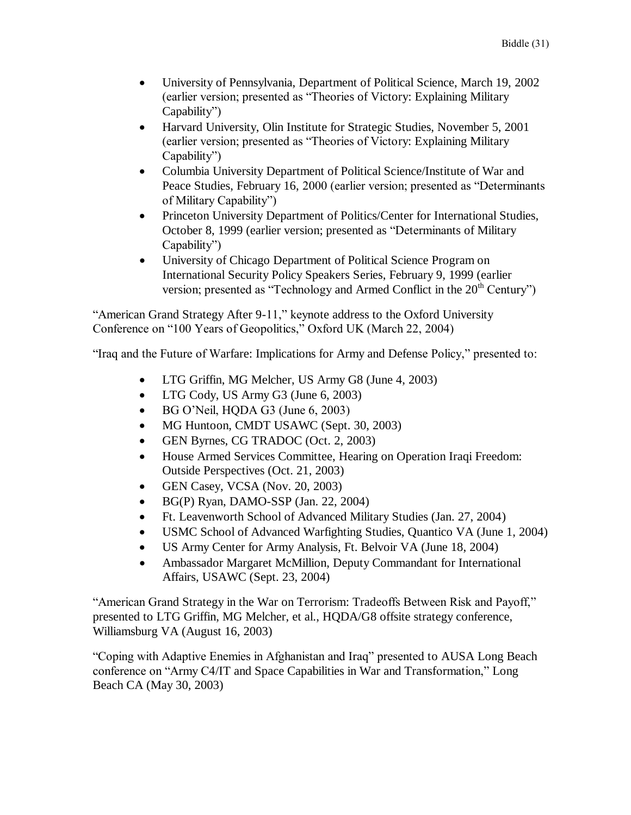- University of Pennsylvania, Department of Political Science, March 19, 2002 (earlier version; presented as "Theories of Victory: Explaining Military Capability")
- Harvard University, Olin Institute for Strategic Studies, November 5, 2001 (earlier version; presented as "Theories of Victory: Explaining Military Capability")
- Columbia University Department of Political Science/Institute of War and Peace Studies, February 16, 2000 (earlier version; presented as "Determinants of Military Capability")
- Princeton University Department of Politics/Center for International Studies, October 8, 1999 (earlier version; presented as "Determinants of Military Capability")
- University of Chicago Department of Political Science Program on International Security Policy Speakers Series, February 9, 1999 (earlier version; presented as "Technology and Armed Conflict in the  $20<sup>th</sup>$  Century")

"American Grand Strategy After 9-11," keynote address to the Oxford University Conference on "100 Years of Geopolitics," Oxford UK (March 22, 2004)

"Iraq and the Future of Warfare: Implications for Army and Defense Policy," presented to:

- LTG Griffin, MG Melcher, US Army G8 (June 4, 2003)
- LTG Cody, US Army G3 (June 6, 2003)
- $\bullet$  BG O'Neil, HQDA G3 (June 6, 2003)
- MG Huntoon, CMDT USAWC (Sept. 30, 2003)
- GEN Byrnes, CG TRADOC (Oct. 2, 2003)
- House Armed Services Committee, Hearing on Operation Iraqi Freedom: Outside Perspectives (Oct. 21, 2003)
- GEN Casey, VCSA (Nov. 20, 2003)
- BG(P) Ryan, DAMO-SSP (Jan. 22, 2004)
- Ft. Leavenworth School of Advanced Military Studies (Jan. 27, 2004)
- USMC School of Advanced Warfighting Studies, Quantico VA (June 1, 2004)
- US Army Center for Army Analysis, Ft. Belvoir VA (June 18, 2004)
- Ambassador Margaret McMillion, Deputy Commandant for International Affairs, USAWC (Sept. 23, 2004)

"American Grand Strategy in the War on Terrorism: Tradeoffs Between Risk and Payoff," presented to LTG Griffin, MG Melcher, et al., HQDA/G8 offsite strategy conference, Williamsburg VA (August 16, 2003)

"Coping with Adaptive Enemies in Afghanistan and Iraq" presented to AUSA Long Beach conference on "Army C4/IT and Space Capabilities in War and Transformation," Long Beach CA (May 30, 2003)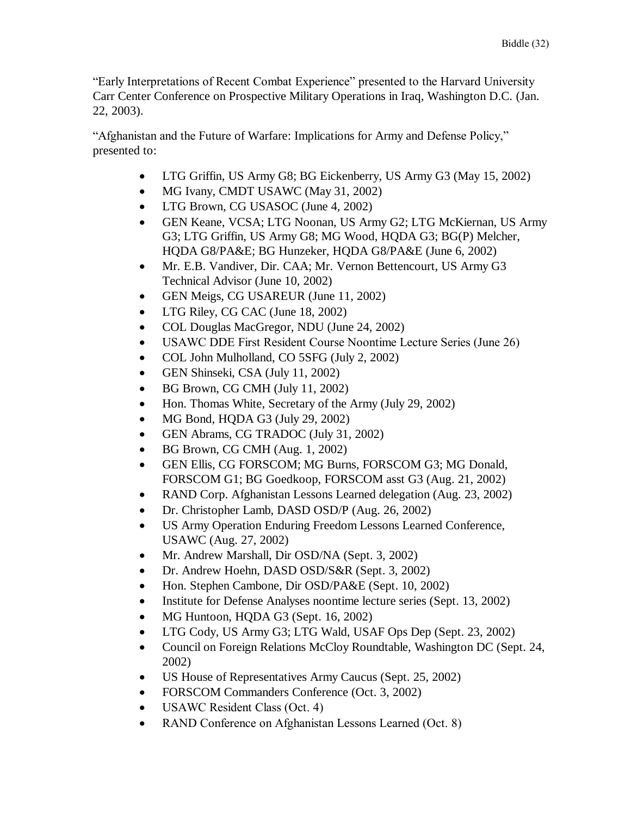"Early Interpretations of Recent Combat Experience" presented to the Harvard University Carr Center Conference on Prospective Military Operations in Iraq, Washington D.C. (Jan. 22, 2003).

"Afghanistan and the Future of Warfare: Implications for Army and Defense Policy," presented to:

- LTG Griffin, US Army G8; BG Eickenberry, US Army G3 (May 15, 2002)
- MG Ivany, CMDT USAWC (May 31, 2002)
- LTG Brown, CG USASOC (June 4, 2002)
- GEN Keane, VCSA; LTG Noonan, US Army G2; LTG McKiernan, US Army G3; LTG Griffin, US Army G8; MG Wood, HQDA G3; BG(P) Melcher, HQDA G8/PA&E; BG Hunzeker, HQDA G8/PA&E (June 6, 2002)
- Mr. E.B. Vandiver, Dir. CAA; Mr. Vernon Bettencourt, US Army G3 Technical Advisor (June 10, 2002)
- GEN Meigs, CG USAREUR (June 11, 2002)
- LTG Riley, CG CAC (June 18, 2002)
- COL Douglas MacGregor, NDU (June 24, 2002)
- USAWC DDE First Resident Course Noontime Lecture Series (June 26)
- COL John Mulholland, CO 5SFG (July 2, 2002)
- GEN Shinseki, CSA (July 11, 2002)
- BG Brown, CG CMH (July 11, 2002)
- Hon. Thomas White, Secretary of the Army (July 29, 2002)
- MG Bond, HQDA G3 (July 29, 2002)
- GEN Abrams, CG TRADOC (July 31, 2002)
- BG Brown, CG CMH (Aug. 1, 2002)
- GEN Ellis, CG FORSCOM; MG Burns, FORSCOM G3; MG Donald, FORSCOM G1; BG Goedkoop, FORSCOM asst G3 (Aug. 21, 2002)
- RAND Corp. Afghanistan Lessons Learned delegation (Aug. 23, 2002)
- Dr. Christopher Lamb, DASD OSD/P (Aug. 26, 2002)
- US Army Operation Enduring Freedom Lessons Learned Conference, USAWC (Aug. 27, 2002)
- Mr. Andrew Marshall, Dir OSD/NA (Sept. 3, 2002)
- Dr. Andrew Hoehn, DASD OSD/S&R (Sept. 3, 2002)
- Hon. Stephen Cambone, Dir OSD/PA&E (Sept. 10, 2002)
- Institute for Defense Analyses noontime lecture series (Sept. 13, 2002)
- MG Huntoon, HQDA G3 (Sept. 16, 2002)
- LTG Cody, US Army G3; LTG Wald, USAF Ops Dep (Sept. 23, 2002)
- Council on Foreign Relations McCloy Roundtable, Washington DC (Sept. 24, 2002)
- US House of Representatives Army Caucus (Sept. 25, 2002)
- FORSCOM Commanders Conference (Oct. 3, 2002)
- USAWC Resident Class (Oct. 4)
- RAND Conference on Afghanistan Lessons Learned (Oct. 8)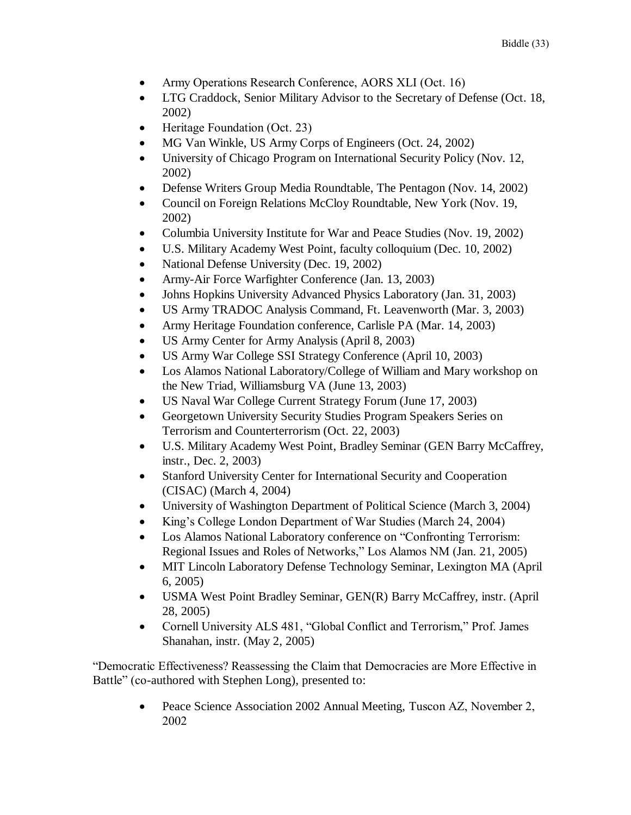- Army Operations Research Conference, AORS XLI (Oct. 16)
- LTG Craddock, Senior Military Advisor to the Secretary of Defense (Oct. 18, 2002)
- Heritage Foundation (Oct. 23)
- MG Van Winkle, US Army Corps of Engineers (Oct. 24, 2002)
- University of Chicago Program on International Security Policy (Nov. 12, 2002)
- Defense Writers Group Media Roundtable, The Pentagon (Nov. 14, 2002)
- Council on Foreign Relations McCloy Roundtable, New York (Nov. 19, 2002)
- Columbia University Institute for War and Peace Studies (Nov. 19, 2002)
- U.S. Military Academy West Point, faculty colloquium (Dec. 10, 2002)
- National Defense University (Dec. 19, 2002)
- Army-Air Force Warfighter Conference (Jan. 13, 2003)
- Johns Hopkins University Advanced Physics Laboratory (Jan. 31, 2003)
- US Army TRADOC Analysis Command, Ft. Leavenworth (Mar. 3, 2003)
- Army Heritage Foundation conference, Carlisle PA (Mar. 14, 2003)
- US Army Center for Army Analysis (April 8, 2003)
- US Army War College SSI Strategy Conference (April 10, 2003)
- Los Alamos National Laboratory/College of William and Mary workshop on the New Triad, Williamsburg VA (June 13, 2003)
- US Naval War College Current Strategy Forum (June 17, 2003)
- Georgetown University Security Studies Program Speakers Series on Terrorism and Counterterrorism (Oct. 22, 2003)
- U.S. Military Academy West Point, Bradley Seminar (GEN Barry McCaffrey, instr., Dec. 2, 2003)
- Stanford University Center for International Security and Cooperation (CISAC) (March 4, 2004)
- University of Washington Department of Political Science (March 3, 2004)
- King's College London Department of War Studies (March 24, 2004)
- Los Alamos National Laboratory conference on "Confronting Terrorism: Regional Issues and Roles of Networks," Los Alamos NM (Jan. 21, 2005)
- MIT Lincoln Laboratory Defense Technology Seminar, Lexington MA (April 6, 2005)
- USMA West Point Bradley Seminar, GEN(R) Barry McCaffrey, instr. (April 28, 2005)
- Cornell University ALS 481, "Global Conflict and Terrorism," Prof. James Shanahan, instr. (May 2, 2005)

"Democratic Effectiveness? Reassessing the Claim that Democracies are More Effective in Battle" (co-authored with Stephen Long), presented to:

> Peace Science Association 2002 Annual Meeting, Tuscon AZ, November 2, 2002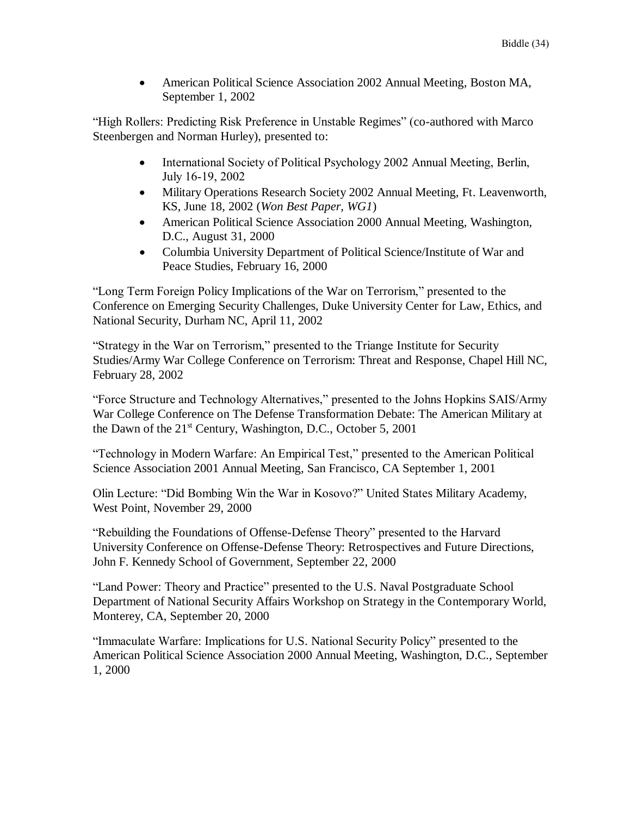American Political Science Association 2002 Annual Meeting, Boston MA, September 1, 2002

"High Rollers: Predicting Risk Preference in Unstable Regimes" (co-authored with Marco Steenbergen and Norman Hurley), presented to:

- International Society of Political Psychology 2002 Annual Meeting, Berlin, July 16-19, 2002
- Military Operations Research Society 2002 Annual Meeting, Ft. Leavenworth, KS, June 18, 2002 (*Won Best Paper, WG1*)
- American Political Science Association 2000 Annual Meeting, Washington, D.C., August 31, 2000
- Columbia University Department of Political Science/Institute of War and Peace Studies, February 16, 2000

"Long Term Foreign Policy Implications of the War on Terrorism," presented to the Conference on Emerging Security Challenges, Duke University Center for Law, Ethics, and National Security, Durham NC, April 11, 2002

"Strategy in the War on Terrorism," presented to the Triange Institute for Security Studies/Army War College Conference on Terrorism: Threat and Response, Chapel Hill NC, February 28, 2002

"Force Structure and Technology Alternatives," presented to the Johns Hopkins SAIS/Army War College Conference on The Defense Transformation Debate: The American Military at the Dawn of the  $21^{st}$  Century, Washington, D.C., October 5, 2001

"Technology in Modern Warfare: An Empirical Test," presented to the American Political Science Association 2001 Annual Meeting, San Francisco, CA September 1, 2001

Olin Lecture: "Did Bombing Win the War in Kosovo?" United States Military Academy, West Point, November 29, 2000

"Rebuilding the Foundations of Offense-Defense Theory" presented to the Harvard University Conference on Offense-Defense Theory: Retrospectives and Future Directions, John F. Kennedy School of Government, September 22, 2000

"Land Power: Theory and Practice" presented to the U.S. Naval Postgraduate School Department of National Security Affairs Workshop on Strategy in the Contemporary World, Monterey, CA, September 20, 2000

"Immaculate Warfare: Implications for U.S. National Security Policy" presented to the American Political Science Association 2000 Annual Meeting, Washington, D.C., September 1, 2000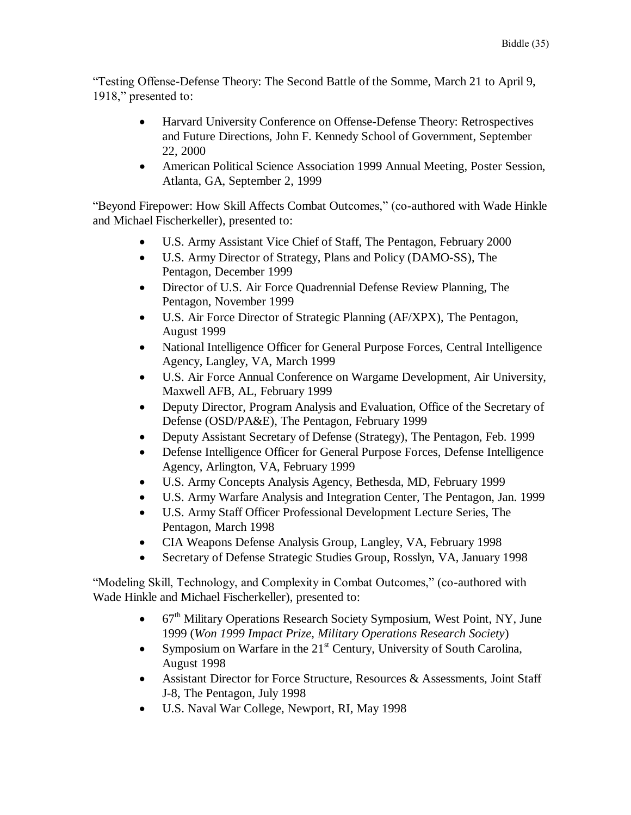"Testing Offense-Defense Theory: The Second Battle of the Somme, March 21 to April 9, 1918," presented to:

- Harvard University Conference on Offense-Defense Theory: Retrospectives and Future Directions, John F. Kennedy School of Government, September 22, 2000
- American Political Science Association 1999 Annual Meeting, Poster Session, Atlanta, GA, September 2, 1999

"Beyond Firepower: How Skill Affects Combat Outcomes," (co-authored with Wade Hinkle and Michael Fischerkeller), presented to:

- U.S. Army Assistant Vice Chief of Staff, The Pentagon, February 2000
- U.S. Army Director of Strategy, Plans and Policy (DAMO-SS), The Pentagon, December 1999
- Director of U.S. Air Force Quadrennial Defense Review Planning, The Pentagon, November 1999
- U.S. Air Force Director of Strategic Planning (AF/XPX), The Pentagon, August 1999
- National Intelligence Officer for General Purpose Forces, Central Intelligence Agency, Langley, VA, March 1999
- U.S. Air Force Annual Conference on Wargame Development, Air University, Maxwell AFB, AL, February 1999
- Deputy Director, Program Analysis and Evaluation, Office of the Secretary of Defense (OSD/PA&E), The Pentagon, February 1999
- Deputy Assistant Secretary of Defense (Strategy), The Pentagon, Feb. 1999
- Defense Intelligence Officer for General Purpose Forces, Defense Intelligence Agency, Arlington, VA, February 1999
- U.S. Army Concepts Analysis Agency, Bethesda, MD, February 1999
- U.S. Army Warfare Analysis and Integration Center, The Pentagon, Jan. 1999
- U.S. Army Staff Officer Professional Development Lecture Series, The Pentagon, March 1998
- CIA Weapons Defense Analysis Group, Langley, VA, February 1998
- Secretary of Defense Strategic Studies Group, Rosslyn, VA, January 1998

"Modeling Skill, Technology, and Complexity in Combat Outcomes," (co-authored with Wade Hinkle and Michael Fischerkeller), presented to:

- $\bullet$  67<sup>th</sup> Military Operations Research Society Symposium, West Point, NY, June 1999 (*Won 1999 Impact Prize, Military Operations Research Society*)
- Symposium on Warfare in the  $21<sup>st</sup>$  Century, University of South Carolina, August 1998
- Assistant Director for Force Structure, Resources & Assessments, Joint Staff J-8, The Pentagon, July 1998
- U.S. Naval War College, Newport, RI, May 1998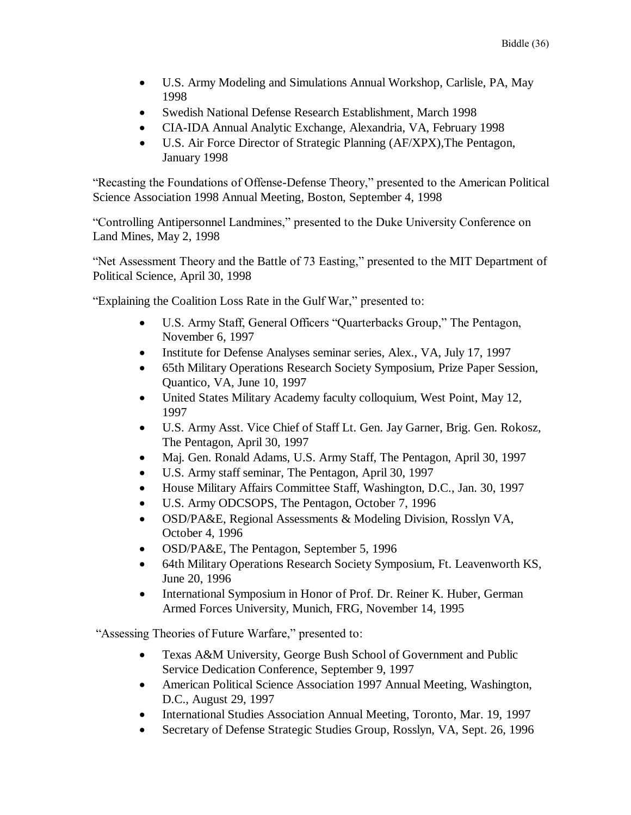- U.S. Army Modeling and Simulations Annual Workshop, Carlisle, PA, May 1998
- Swedish National Defense Research Establishment, March 1998
- CIA-IDA Annual Analytic Exchange, Alexandria, VA, February 1998
- U.S. Air Force Director of Strategic Planning (AF/XPX),The Pentagon, January 1998

"Recasting the Foundations of Offense-Defense Theory," presented to the American Political Science Association 1998 Annual Meeting, Boston, September 4, 1998

"Controlling Antipersonnel Landmines," presented to the Duke University Conference on Land Mines, May 2, 1998

"Net Assessment Theory and the Battle of 73 Easting," presented to the MIT Department of Political Science, April 30, 1998

"Explaining the Coalition Loss Rate in the Gulf War," presented to:

- U.S. Army Staff, General Officers "Quarterbacks Group," The Pentagon, November 6, 1997
- Institute for Defense Analyses seminar series, Alex., VA, July 17, 1997
- 65th Military Operations Research Society Symposium, Prize Paper Session, Quantico, VA, June 10, 1997
- United States Military Academy faculty colloquium, West Point, May 12, 1997
- U.S. Army Asst. Vice Chief of Staff Lt. Gen. Jay Garner, Brig. Gen. Rokosz, The Pentagon, April 30, 1997
- Maj. Gen. Ronald Adams, U.S. Army Staff, The Pentagon, April 30, 1997
- U.S. Army staff seminar, The Pentagon, April 30, 1997
- House Military Affairs Committee Staff, Washington, D.C., Jan. 30, 1997
- U.S. Army ODCSOPS, The Pentagon, October 7, 1996
- OSD/PA&E, Regional Assessments & Modeling Division, Rosslyn VA, October 4, 1996
- OSD/PA&E, The Pentagon, September 5, 1996
- 64th Military Operations Research Society Symposium, Ft. Leavenworth KS, June 20, 1996
- International Symposium in Honor of Prof. Dr. Reiner K. Huber, German Armed Forces University, Munich, FRG, November 14, 1995

"Assessing Theories of Future Warfare," presented to:

- Texas A&M University, George Bush School of Government and Public Service Dedication Conference, September 9, 1997
- American Political Science Association 1997 Annual Meeting, Washington, D.C., August 29, 1997
- International Studies Association Annual Meeting, Toronto, Mar. 19, 1997
- Secretary of Defense Strategic Studies Group, Rosslyn, VA, Sept. 26, 1996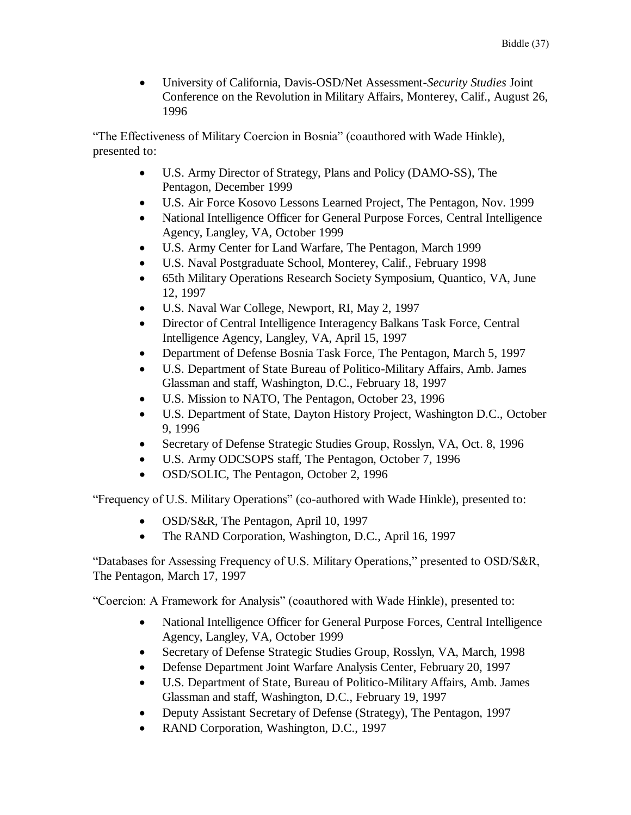University of California, Davis-OSD/Net Assessment-*Security Studies* Joint Conference on the Revolution in Military Affairs, Monterey, Calif., August 26, 1996

"The Effectiveness of Military Coercion in Bosnia" (coauthored with Wade Hinkle), presented to:

- U.S. Army Director of Strategy, Plans and Policy (DAMO-SS), The Pentagon, December 1999
- U.S. Air Force Kosovo Lessons Learned Project, The Pentagon, Nov. 1999
- National Intelligence Officer for General Purpose Forces, Central Intelligence Agency, Langley, VA, October 1999
- U.S. Army Center for Land Warfare, The Pentagon, March 1999
- U.S. Naval Postgraduate School, Monterey, Calif., February 1998
- 65th Military Operations Research Society Symposium, Quantico, VA, June 12, 1997
- U.S. Naval War College, Newport, RI, May 2, 1997
- Director of Central Intelligence Interagency Balkans Task Force, Central Intelligence Agency, Langley, VA, April 15, 1997
- Department of Defense Bosnia Task Force, The Pentagon, March 5, 1997
- U.S. Department of State Bureau of Politico-Military Affairs, Amb. James Glassman and staff, Washington, D.C., February 18, 1997
- U.S. Mission to NATO, The Pentagon, October 23, 1996
- U.S. Department of State, Dayton History Project, Washington D.C., October 9, 1996
- Secretary of Defense Strategic Studies Group, Rosslyn, VA, Oct. 8, 1996
- U.S. Army ODCSOPS staff, The Pentagon, October 7, 1996
- OSD/SOLIC, The Pentagon, October 2, 1996

"Frequency of U.S. Military Operations" (co-authored with Wade Hinkle), presented to:

- OSD/S&R, The Pentagon, April 10, 1997
- The RAND Corporation, Washington, D.C., April 16, 1997

"Databases for Assessing Frequency of U.S. Military Operations," presented to OSD/S&R, The Pentagon, March 17, 1997

"Coercion: A Framework for Analysis" (coauthored with Wade Hinkle), presented to:

- National Intelligence Officer for General Purpose Forces, Central Intelligence Agency, Langley, VA, October 1999
- Secretary of Defense Strategic Studies Group, Rosslyn, VA, March, 1998
- Defense Department Joint Warfare Analysis Center, February 20, 1997
- U.S. Department of State, Bureau of Politico-Military Affairs, Amb. James Glassman and staff, Washington, D.C., February 19, 1997
- Deputy Assistant Secretary of Defense (Strategy), The Pentagon, 1997
- RAND Corporation, Washington, D.C., 1997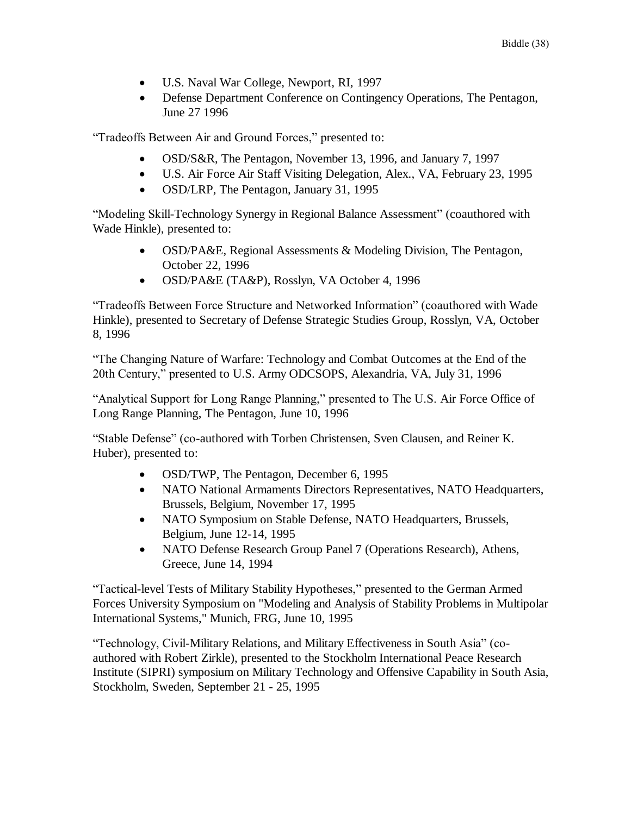- U.S. Naval War College, Newport, RI, 1997
- Defense Department Conference on Contingency Operations, The Pentagon, June 27 1996

"Tradeoffs Between Air and Ground Forces," presented to:

- OSD/S&R, The Pentagon, November 13, 1996, and January 7, 1997
- U.S. Air Force Air Staff Visiting Delegation, Alex., VA, February 23, 1995
- OSD/LRP, The Pentagon, January 31, 1995

"Modeling Skill-Technology Synergy in Regional Balance Assessment" (coauthored with Wade Hinkle), presented to:

- OSD/PA&E, Regional Assessments & Modeling Division, The Pentagon, October 22, 1996
- OSD/PA&E (TA&P), Rosslyn, VA October 4, 1996

"Tradeoffs Between Force Structure and Networked Information" (coauthored with Wade Hinkle), presented to Secretary of Defense Strategic Studies Group, Rosslyn, VA, October 8, 1996

"The Changing Nature of Warfare: Technology and Combat Outcomes at the End of the 20th Century," presented to U.S. Army ODCSOPS, Alexandria, VA, July 31, 1996

"Analytical Support for Long Range Planning," presented to The U.S. Air Force Office of Long Range Planning, The Pentagon, June 10, 1996

"Stable Defense" (co-authored with Torben Christensen, Sven Clausen, and Reiner K. Huber), presented to:

- OSD/TWP, The Pentagon, December 6, 1995
- NATO National Armaments Directors Representatives, NATO Headquarters, Brussels, Belgium, November 17, 1995
- NATO Symposium on Stable Defense, NATO Headquarters, Brussels, Belgium, June 12-14, 1995
- NATO Defense Research Group Panel 7 (Operations Research), Athens, Greece, June 14, 1994

"Tactical-level Tests of Military Stability Hypotheses," presented to the German Armed Forces University Symposium on "Modeling and Analysis of Stability Problems in Multipolar International Systems," Munich, FRG, June 10, 1995

"Technology, Civil-Military Relations, and Military Effectiveness in South Asia" (coauthored with Robert Zirkle), presented to the Stockholm International Peace Research Institute (SIPRI) symposium on Military Technology and Offensive Capability in South Asia, Stockholm, Sweden, September 21 - 25, 1995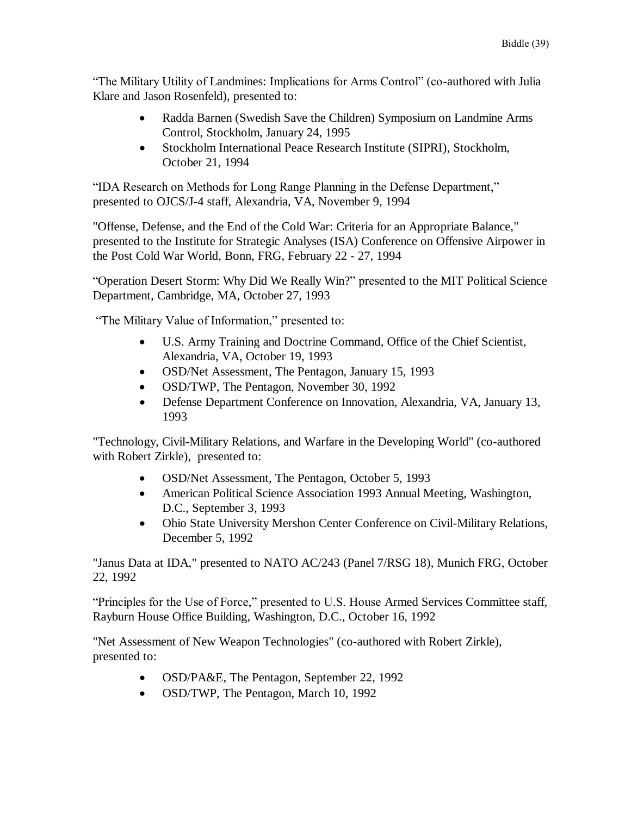"The Military Utility of Landmines: Implications for Arms Control" (co-authored with Julia Klare and Jason Rosenfeld), presented to:

- Radda Barnen (Swedish Save the Children) Symposium on Landmine Arms Control, Stockholm, January 24, 1995
- Stockholm International Peace Research Institute (SIPRI), Stockholm, October 21, 1994

"IDA Research on Methods for Long Range Planning in the Defense Department," presented to OJCS/J-4 staff, Alexandria, VA, November 9, 1994

"Offense, Defense, and the End of the Cold War: Criteria for an Appropriate Balance," presented to the Institute for Strategic Analyses (ISA) Conference on Offensive Airpower in the Post Cold War World, Bonn, FRG, February 22 - 27, 1994

"Operation Desert Storm: Why Did We Really Win?" presented to the MIT Political Science Department, Cambridge, MA, October 27, 1993

"The Military Value of Information," presented to:

- U.S. Army Training and Doctrine Command, Office of the Chief Scientist, Alexandria, VA, October 19, 1993
- OSD/Net Assessment, The Pentagon, January 15, 1993
- OSD/TWP, The Pentagon, November 30, 1992
- Defense Department Conference on Innovation, Alexandria, VA, January 13, 1993

"Technology, Civil-Military Relations, and Warfare in the Developing World" (co-authored with Robert Zirkle), presented to:

- OSD/Net Assessment, The Pentagon, October 5, 1993
- American Political Science Association 1993 Annual Meeting, Washington, D.C., September 3, 1993
- Ohio State University Mershon Center Conference on Civil-Military Relations, December 5, 1992

"Janus Data at IDA," presented to NATO AC/243 (Panel 7/RSG 18), Munich FRG, October 22, 1992

"Principles for the Use of Force," presented to U.S. House Armed Services Committee staff, Rayburn House Office Building, Washington, D.C., October 16, 1992

"Net Assessment of New Weapon Technologies" (co-authored with Robert Zirkle), presented to:

- OSD/PA&E, The Pentagon, September 22, 1992
- OSD/TWP, The Pentagon, March 10, 1992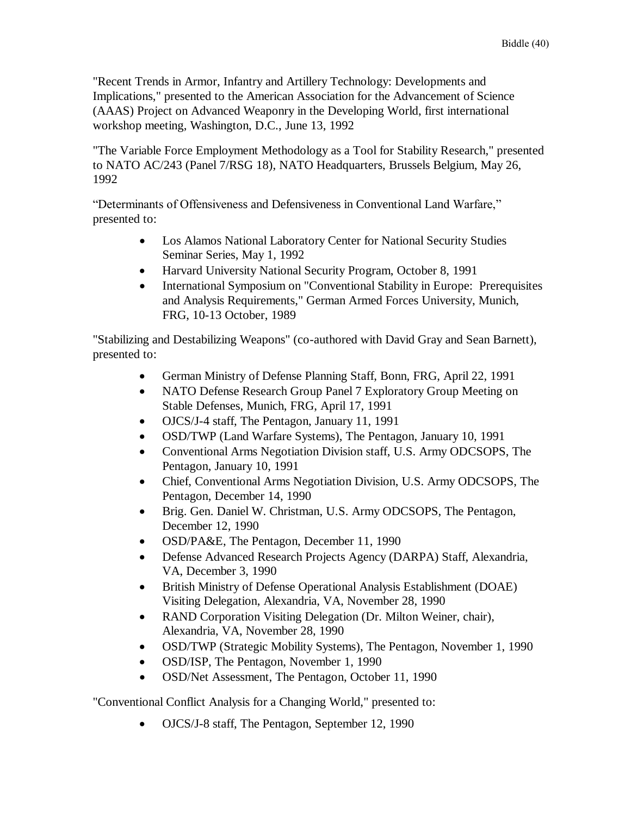"Recent Trends in Armor, Infantry and Artillery Technology: Developments and Implications," presented to the American Association for the Advancement of Science (AAAS) Project on Advanced Weaponry in the Developing World, first international workshop meeting, Washington, D.C., June 13, 1992

"The Variable Force Employment Methodology as a Tool for Stability Research," presented to NATO AC/243 (Panel 7/RSG 18), NATO Headquarters, Brussels Belgium, May 26, 1992

"Determinants of Offensiveness and Defensiveness in Conventional Land Warfare," presented to:

- Los Alamos National Laboratory Center for National Security Studies Seminar Series, May 1, 1992
- Harvard University National Security Program, October 8, 1991
- International Symposium on "Conventional Stability in Europe: Prerequisites and Analysis Requirements," German Armed Forces University, Munich, FRG, 10-13 October, 1989

"Stabilizing and Destabilizing Weapons" (co-authored with David Gray and Sean Barnett), presented to:

- German Ministry of Defense Planning Staff, Bonn, FRG, April 22, 1991
- NATO Defense Research Group Panel 7 Exploratory Group Meeting on Stable Defenses, Munich, FRG, April 17, 1991
- OJCS/J-4 staff, The Pentagon, January 11, 1991
- OSD/TWP (Land Warfare Systems), The Pentagon, January 10, 1991
- Conventional Arms Negotiation Division staff, U.S. Army ODCSOPS, The Pentagon, January 10, 1991
- Chief, Conventional Arms Negotiation Division, U.S. Army ODCSOPS, The Pentagon, December 14, 1990
- Brig. Gen. Daniel W. Christman, U.S. Army ODCSOPS, The Pentagon, December 12, 1990
- OSD/PA&E, The Pentagon, December 11, 1990
- Defense Advanced Research Projects Agency (DARPA) Staff, Alexandria, VA, December 3, 1990
- British Ministry of Defense Operational Analysis Establishment (DOAE) Visiting Delegation, Alexandria, VA, November 28, 1990
- RAND Corporation Visiting Delegation (Dr. Milton Weiner, chair), Alexandria, VA, November 28, 1990
- OSD/TWP (Strategic Mobility Systems), The Pentagon, November 1, 1990
- OSD/ISP, The Pentagon, November 1, 1990
- OSD/Net Assessment, The Pentagon, October 11, 1990

"Conventional Conflict Analysis for a Changing World," presented to:

OJCS/J-8 staff, The Pentagon, September 12, 1990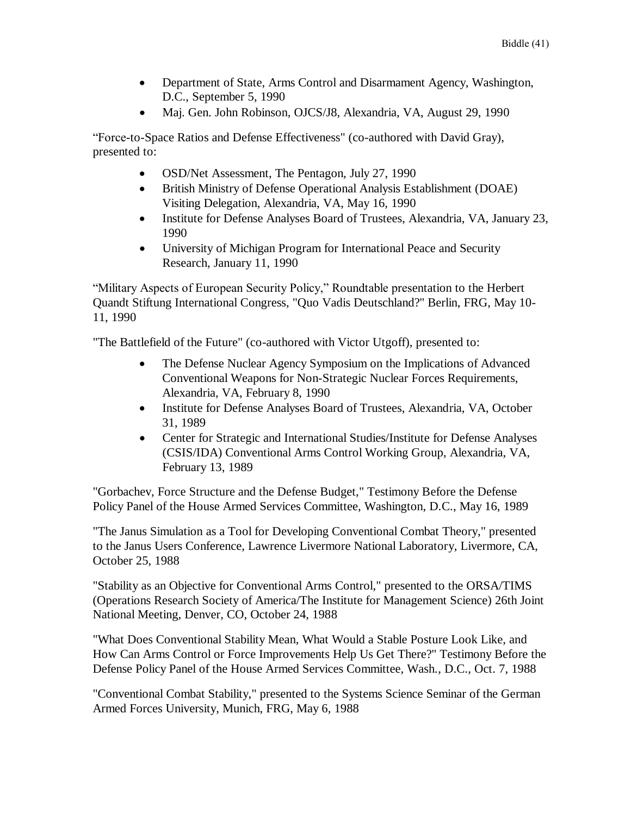- Department of State, Arms Control and Disarmament Agency, Washington, D.C., September 5, 1990
- Maj. Gen. John Robinson, OJCS/J8, Alexandria, VA, August 29, 1990

"Force-to-Space Ratios and Defense Effectiveness" (co-authored with David Gray), presented to:

- OSD/Net Assessment, The Pentagon, July 27, 1990
- British Ministry of Defense Operational Analysis Establishment (DOAE) Visiting Delegation, Alexandria, VA, May 16, 1990
- Institute for Defense Analyses Board of Trustees, Alexandria, VA, January 23, 1990
- University of Michigan Program for International Peace and Security Research, January 11, 1990

"Military Aspects of European Security Policy," Roundtable presentation to the Herbert Quandt Stiftung International Congress, "Quo Vadis Deutschland?" Berlin, FRG, May 10- 11, 1990

"The Battlefield of the Future" (co-authored with Victor Utgoff), presented to:

- The Defense Nuclear Agency Symposium on the Implications of Advanced Conventional Weapons for Non-Strategic Nuclear Forces Requirements, Alexandria, VA, February 8, 1990
- Institute for Defense Analyses Board of Trustees, Alexandria, VA, October 31, 1989
- Center for Strategic and International Studies/Institute for Defense Analyses (CSIS/IDA) Conventional Arms Control Working Group, Alexandria, VA, February 13, 1989

"Gorbachev, Force Structure and the Defense Budget," Testimony Before the Defense Policy Panel of the House Armed Services Committee, Washington, D.C., May 16, 1989

"The Janus Simulation as a Tool for Developing Conventional Combat Theory," presented to the Janus Users Conference, Lawrence Livermore National Laboratory, Livermore, CA, October 25, 1988

"Stability as an Objective for Conventional Arms Control," presented to the ORSA/TIMS (Operations Research Society of America/The Institute for Management Science) 26th Joint National Meeting, Denver, CO, October 24, 1988

"What Does Conventional Stability Mean, What Would a Stable Posture Look Like, and How Can Arms Control or Force Improvements Help Us Get There?" Testimony Before the Defense Policy Panel of the House Armed Services Committee, Wash., D.C., Oct. 7, 1988

"Conventional Combat Stability," presented to the Systems Science Seminar of the German Armed Forces University, Munich, FRG, May 6, 1988